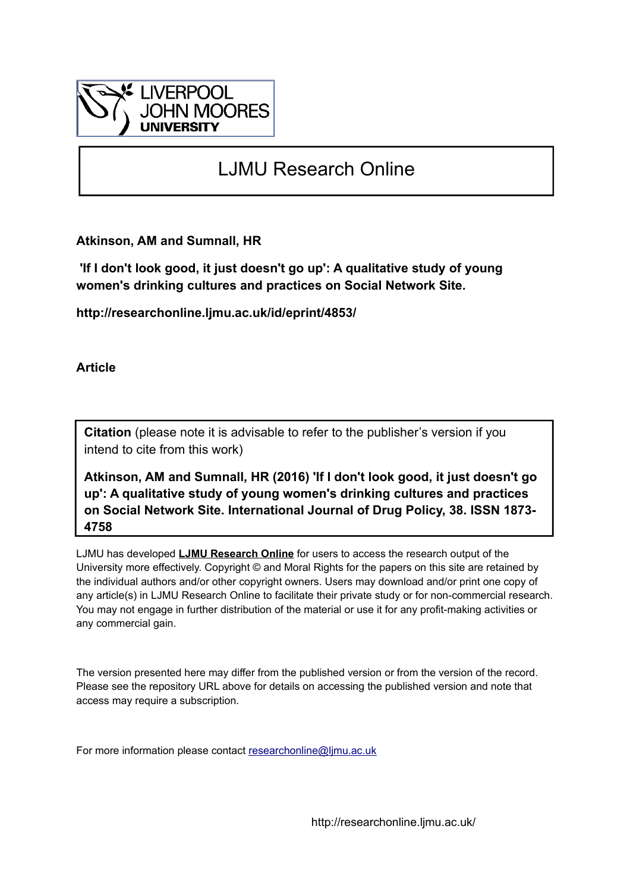

# LJMU Research Online

**Atkinson, AM and Sumnall, HR**

 **'If I don't look good, it just doesn't go up': A qualitative study of young women's drinking cultures and practices on Social Network Site.**

**http://researchonline.ljmu.ac.uk/id/eprint/4853/**

**Article**

**Citation** (please note it is advisable to refer to the publisher's version if you intend to cite from this work)

**Atkinson, AM and Sumnall, HR (2016) 'If I don't look good, it just doesn't go up': A qualitative study of young women's drinking cultures and practices on Social Network Site. International Journal of Drug Policy, 38. ISSN 1873- 4758** 

LJMU has developed **[LJMU Research Online](http://researchonline.ljmu.ac.uk/)** for users to access the research output of the University more effectively. Copyright © and Moral Rights for the papers on this site are retained by the individual authors and/or other copyright owners. Users may download and/or print one copy of any article(s) in LJMU Research Online to facilitate their private study or for non-commercial research. You may not engage in further distribution of the material or use it for any profit-making activities or any commercial gain.

The version presented here may differ from the published version or from the version of the record. Please see the repository URL above for details on accessing the published version and note that access may require a subscription.

For more information please contact [researchonline@ljmu.ac.uk](mailto:researchonline@ljmu.ac.uk)

http://researchonline.ljmu.ac.uk/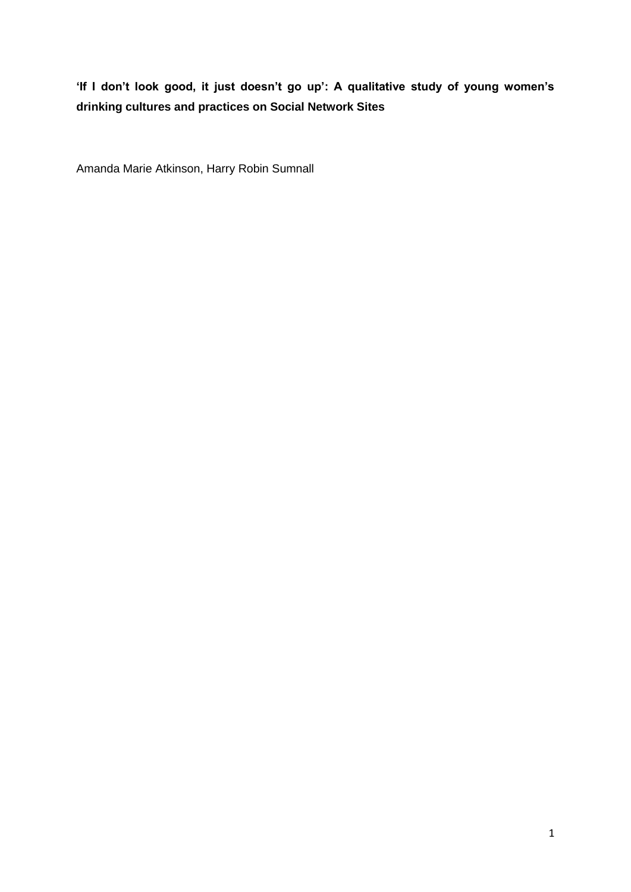# **'If I don't look good, it just doesn't go up': A qualitative study of young women's drinking cultures and practices on Social Network Sites**

Amanda Marie Atkinson, Harry Robin Sumnall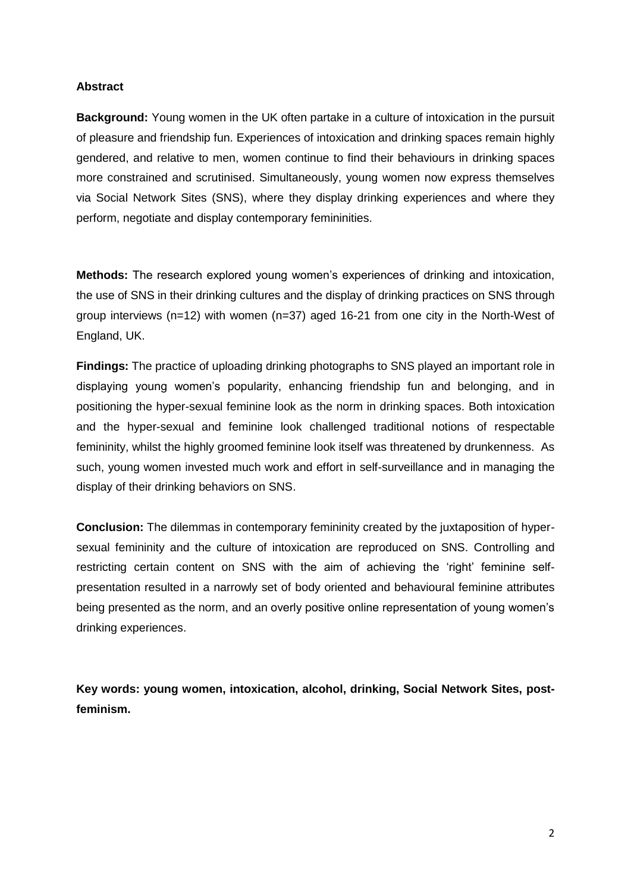#### **Abstract**

**Background:** Young women in the UK often partake in a culture of intoxication in the pursuit of pleasure and friendship fun. Experiences of intoxication and drinking spaces remain highly gendered, and relative to men, women continue to find their behaviours in drinking spaces more constrained and scrutinised. Simultaneously, young women now express themselves via Social Network Sites (SNS), where they display drinking experiences and where they perform, negotiate and display contemporary femininities.

**Methods:** The research explored young women's experiences of drinking and intoxication, the use of SNS in their drinking cultures and the display of drinking practices on SNS through group interviews (n=12) with women (n=37) aged 16-21 from one city in the North-West of England, UK.

**Findings:** The practice of uploading drinking photographs to SNS played an important role in displaying young women's popularity, enhancing friendship fun and belonging, and in positioning the hyper-sexual feminine look as the norm in drinking spaces. Both intoxication and the hyper-sexual and feminine look challenged traditional notions of respectable femininity, whilst the highly groomed feminine look itself was threatened by drunkenness. As such, young women invested much work and effort in self-surveillance and in managing the display of their drinking behaviors on SNS.

**Conclusion:** The dilemmas in contemporary femininity created by the juxtaposition of hypersexual femininity and the culture of intoxication are reproduced on SNS. Controlling and restricting certain content on SNS with the aim of achieving the 'right' feminine selfpresentation resulted in a narrowly set of body oriented and behavioural feminine attributes being presented as the norm, and an overly positive online representation of young women's drinking experiences.

**Key words: young women, intoxication, alcohol, drinking, Social Network Sites, postfeminism.**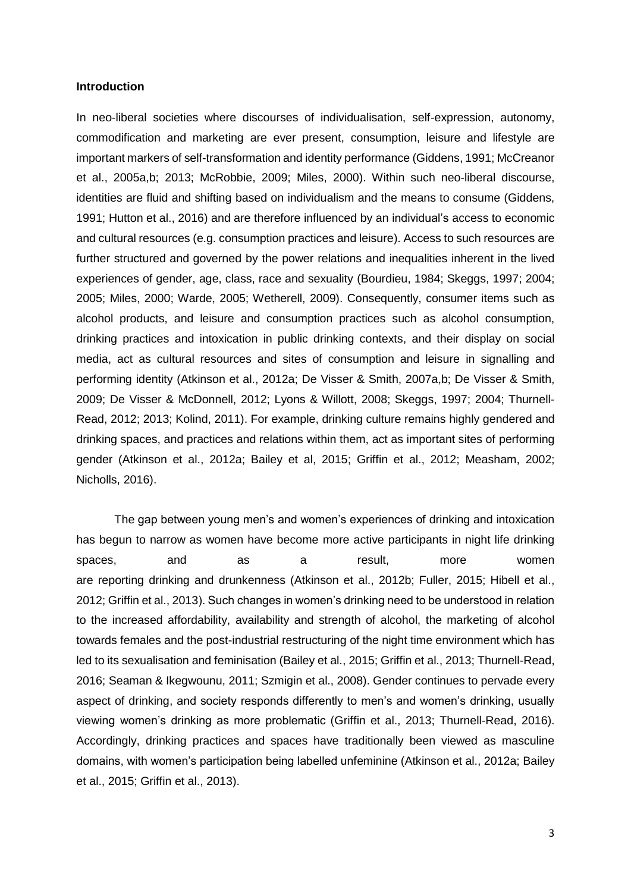#### **Introduction**

In neo-liberal societies where discourses of individualisation, self-expression, autonomy, commodification and marketing are ever present, consumption, leisure and lifestyle are important markers of self-transformation and identity performance (Giddens, 1991; McCreanor et al., 2005a,b; 2013; McRobbie, 2009; Miles, 2000). Within such neo-liberal discourse, identities are fluid and shifting based on individualism and the means to consume (Giddens, 1991; Hutton et al., 2016) and are therefore influenced by an individual's access to economic and cultural resources (e.g. consumption practices and leisure). Access to such resources are further structured and governed by the power relations and inequalities inherent in the lived experiences of gender, age, class, race and sexuality (Bourdieu, 1984; Skeggs, 1997; 2004; 2005; Miles, 2000; Warde, 2005; Wetherell, 2009). Consequently, consumer items such as alcohol products, and leisure and consumption practices such as alcohol consumption, drinking practices and intoxication in public drinking contexts, and their display on social media, act as cultural resources and sites of consumption and leisure in signalling and performing identity (Atkinson et al., 2012a; De Visser & Smith, 2007a,b; De Visser & Smith, 2009; De Visser & McDonnell, 2012; Lyons & Willott, 2008; Skeggs, 1997; 2004; Thurnell-Read, 2012; 2013; Kolind, 2011). For example, drinking culture remains highly gendered and drinking spaces, and practices and relations within them, act as important sites of performing gender (Atkinson et al., 2012a; Bailey et al, 2015; Griffin et al., 2012; Measham, 2002; Nicholls, 2016).

The gap between young men's and women's experiences of drinking and intoxication has begun to narrow as women have become more active participants in night life drinking spaces, and as a result, more women are reporting drinking and drunkenness (Atkinson et al., 2012b; Fuller, 2015; Hibell et al., 2012; Griffin et al., 2013). Such changes in women's drinking need to be understood in relation to the increased affordability, availability and strength of alcohol, the marketing of alcohol towards females and the post-industrial restructuring of the night time environment which has led to its sexualisation and feminisation (Bailey et al., 2015; Griffin et al., 2013; Thurnell-Read, 2016; Seaman & Ikegwounu, 2011; Szmigin et al., 2008). Gender continues to pervade every aspect of drinking, and society responds differently to men's and women's drinking, usually viewing women's drinking as more problematic (Griffin et al., 2013; Thurnell-Read, 2016). Accordingly, drinking practices and spaces have traditionally been viewed as masculine domains, with women's participation being labelled unfeminine (Atkinson et al., 2012a; Bailey et al., 2015; Griffin et al., 2013).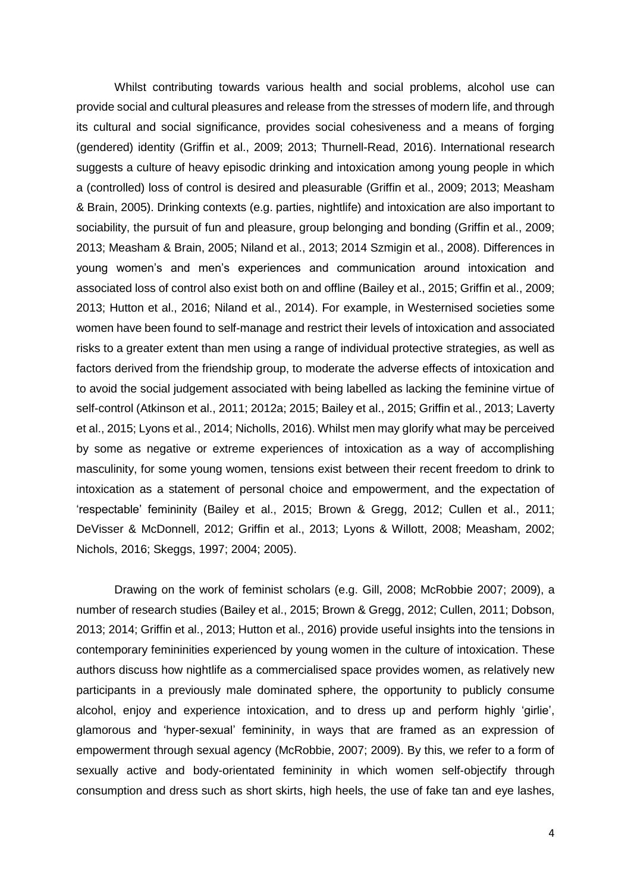Whilst contributing towards various health and social problems, alcohol use can provide social and cultural pleasures and release from the stresses of modern life, and through its cultural and social significance, provides social cohesiveness and a means of forging (gendered) identity (Griffin et al., 2009; 2013; Thurnell-Read, 2016). International research suggests a culture of heavy episodic drinking and intoxication among young people in which a (controlled) loss of control is desired and pleasurable (Griffin et al., 2009; 2013; Measham & Brain, 2005). Drinking contexts (e.g. parties, nightlife) and intoxication are also important to sociability, the pursuit of fun and pleasure, group belonging and bonding (Griffin et al., 2009; 2013; Measham & Brain, 2005; Niland et al., 2013; 2014 Szmigin et al., 2008). Differences in young women's and men's experiences and communication around intoxication and associated loss of control also exist both on and offline (Bailey et al., 2015; Griffin et al., 2009; 2013; Hutton et al., 2016; Niland et al., 2014). For example, in Westernised societies some women have been found to self-manage and restrict their levels of intoxication and associated risks to a greater extent than men using a range of individual protective strategies, as well as factors derived from the friendship group, to moderate the adverse effects of intoxication and to avoid the social judgement associated with being labelled as lacking the feminine virtue of self-control (Atkinson et al., 2011; 2012a; 2015; Bailey et al., 2015; Griffin et al., 2013; Laverty et al., 2015; Lyons et al., 2014; Nicholls, 2016). Whilst men may glorify what may be perceived by some as negative or extreme experiences of intoxication as a way of accomplishing masculinity, for some young women, tensions exist between their recent freedom to drink to intoxication as a statement of personal choice and empowerment, and the expectation of 'respectable' femininity (Bailey et al., 2015; Brown & Gregg, 2012; Cullen et al., 2011; DeVisser & McDonnell, 2012; Griffin et al., 2013; Lyons & Willott, 2008; Measham, 2002; Nichols, 2016; Skeggs, 1997; 2004; 2005).

Drawing on the work of feminist scholars (e.g. Gill, 2008; McRobbie 2007; 2009), a number of research studies (Bailey et al., 2015; Brown & Gregg, 2012; Cullen, 2011; Dobson, 2013; 2014; Griffin et al., 2013; Hutton et al., 2016) provide useful insights into the tensions in contemporary femininities experienced by young women in the culture of intoxication. These authors discuss how nightlife as a commercialised space provides women, as relatively new participants in a previously male dominated sphere, the opportunity to publicly consume alcohol, enjoy and experience intoxication, and to dress up and perform highly 'girlie', glamorous and 'hyper-sexual' femininity, in ways that are framed as an expression of empowerment through sexual agency (McRobbie, 2007; 2009). By this, we refer to a form of sexually active and body-orientated femininity in which women self-objectify through consumption and dress such as short skirts, high heels, the use of fake tan and eye lashes,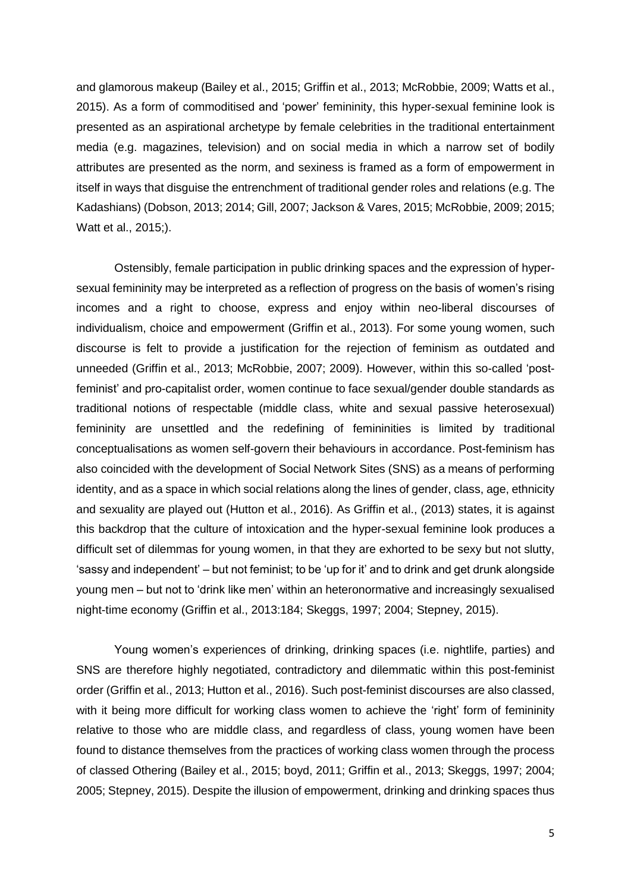and glamorous makeup (Bailey et al., 2015; Griffin et al., 2013; McRobbie, 2009; Watts et al., 2015). As a form of commoditised and 'power' femininity, this hyper-sexual feminine look is presented as an aspirational archetype by female celebrities in the traditional entertainment media (e.g. magazines, television) and on social media in which a narrow set of bodily attributes are presented as the norm, and sexiness is framed as a form of empowerment in itself in ways that disguise the entrenchment of traditional gender roles and relations (e.g. The Kadashians) (Dobson, 2013; 2014; Gill, 2007; Jackson & Vares, 2015; McRobbie, 2009; 2015; Watt et al., 2015;).

Ostensibly, female participation in public drinking spaces and the expression of hypersexual femininity may be interpreted as a reflection of progress on the basis of women's rising incomes and a right to choose, express and enjoy within neo-liberal discourses of individualism, choice and empowerment (Griffin et al., 2013). For some young women, such discourse is felt to provide a justification for the rejection of feminism as outdated and unneeded (Griffin et al., 2013; McRobbie, 2007; 2009). However, within this so-called 'postfeminist' and pro-capitalist order, women continue to face sexual/gender double standards as traditional notions of respectable (middle class, white and sexual passive heterosexual) femininity are unsettled and the redefining of femininities is limited by traditional conceptualisations as women self-govern their behaviours in accordance. Post-feminism has also coincided with the development of Social Network Sites (SNS) as a means of performing identity, and as a space in which social relations along the lines of gender, class, age, ethnicity and sexuality are played out (Hutton et al., 2016). As Griffin et al., (2013) states, it is against this backdrop that the culture of intoxication and the hyper-sexual feminine look produces a difficult set of dilemmas for young women, in that they are exhorted to be sexy but not slutty, 'sassy and independent' – but not feminist; to be 'up for it' and to drink and get drunk alongside young men – but not to 'drink like men' within an heteronormative and increasingly sexualised night-time economy (Griffin et al., 2013:184; Skeggs, 1997; 2004; Stepney, 2015).

Young women's experiences of drinking, drinking spaces (i.e. nightlife, parties) and SNS are therefore highly negotiated, contradictory and dilemmatic within this post-feminist order (Griffin et al., 2013; Hutton et al., 2016). Such post-feminist discourses are also classed, with it being more difficult for working class women to achieve the 'right' form of femininity relative to those who are middle class, and regardless of class, young women have been found to distance themselves from the practices of working class women through the process of classed Othering (Bailey et al., 2015; boyd, 2011; Griffin et al., 2013; Skeggs, 1997; 2004; 2005; Stepney, 2015). Despite the illusion of empowerment, drinking and drinking spaces thus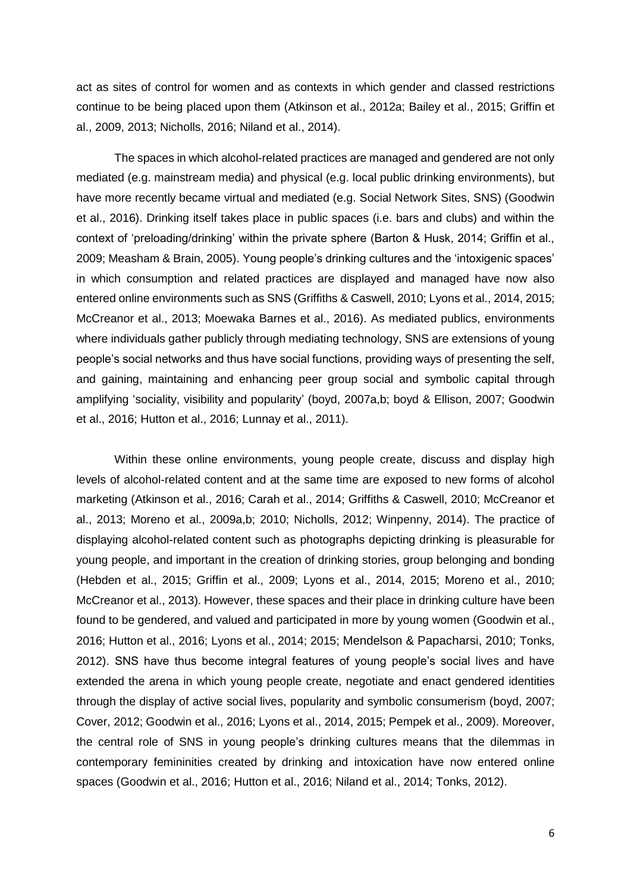act as sites of control for women and as contexts in which gender and classed restrictions continue to be being placed upon them (Atkinson et al., 2012a; Bailey et al., 2015; Griffin et al., 2009, 2013; Nicholls, 2016; Niland et al., 2014).

The spaces in which alcohol-related practices are managed and gendered are not only mediated (e.g. mainstream media) and physical (e.g. local public drinking environments), but have more recently became virtual and mediated (e.g. Social Network Sites, SNS) (Goodwin et al., 2016). Drinking itself takes place in public spaces (i.e. bars and clubs) and within the context of 'preloading/drinking' within the private sphere (Barton & Husk, 2014; Griffin et al., 2009; Measham & Brain, 2005). Young people's drinking cultures and the 'intoxigenic spaces' in which consumption and related practices are displayed and managed have now also entered online environments such as SNS (Griffiths & Caswell, 2010; Lyons et al., 2014, 2015; McCreanor et al., 2013; Moewaka Barnes et al., 2016). As mediated publics, environments where individuals gather publicly through mediating technology, SNS are extensions of young people's social networks and thus have social functions, providing ways of presenting the self, and gaining, maintaining and enhancing peer group social and symbolic capital through amplifying 'sociality, visibility and popularity' (boyd, 2007a,b; boyd & Ellison, 2007; Goodwin et al., 2016; Hutton et al., 2016; Lunnay et al., 2011).

Within these online environments, young people create, discuss and display high levels of alcohol-related content and at the same time are exposed to new forms of alcohol marketing (Atkinson et al., 2016; Carah et al., 2014; Griffiths & Caswell, 2010; McCreanor et al., 2013; Moreno et al., 2009a,b; 2010; Nicholls, 2012; Winpenny, 2014). The practice of displaying alcohol-related content such as photographs depicting drinking is pleasurable for young people, and important in the creation of drinking stories, group belonging and bonding (Hebden et al., 2015; Griffin et al., 2009; Lyons et al., 2014, 2015; Moreno et al., 2010; McCreanor et al., 2013). However, these spaces and their place in drinking culture have been found to be gendered, and valued and participated in more by young women (Goodwin et al., 2016; Hutton et al., 2016; Lyons et al., 2014; 2015; Mendelson & Papacharsi, 2010; Tonks, 2012). SNS have thus become integral features of young people's social lives and have extended the arena in which young people create, negotiate and enact gendered identities through the display of active social lives, popularity and symbolic consumerism (boyd, 2007; Cover, 2012; Goodwin et al., 2016; Lyons et al., 2014, 2015; Pempek et al., 2009). Moreover, the central role of SNS in young people's drinking cultures means that the dilemmas in contemporary femininities created by drinking and intoxication have now entered online spaces (Goodwin et al., 2016; Hutton et al., 2016; Niland et al., 2014; Tonks, 2012).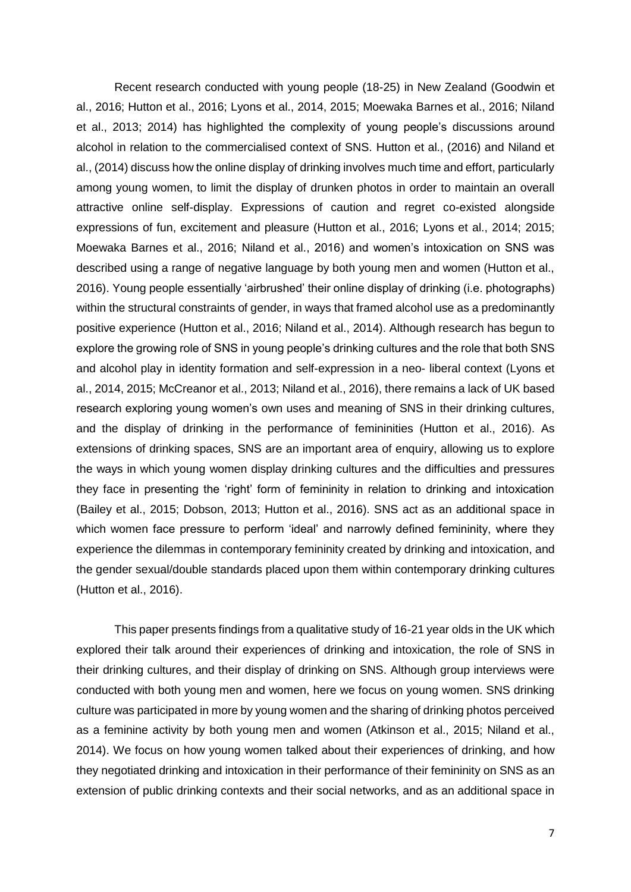Recent research conducted with young people (18-25) in New Zealand (Goodwin et al., 2016; Hutton et al., 2016; Lyons et al., 2014, 2015; Moewaka Barnes et al., 2016; Niland et al., 2013; 2014) has highlighted the complexity of young people's discussions around alcohol in relation to the commercialised context of SNS. Hutton et al., (2016) and Niland et al., (2014) discuss how the online display of drinking involves much time and effort, particularly among young women, to limit the display of drunken photos in order to maintain an overall attractive online self-display. Expressions of caution and regret co-existed alongside expressions of fun, excitement and pleasure (Hutton et al., 2016; Lyons et al., 2014; 2015; Moewaka Barnes et al., 2016; Niland et al., 2016) and women's intoxication on SNS was described using a range of negative language by both young men and women (Hutton et al., 2016). Young people essentially 'airbrushed' their online display of drinking (i.e. photographs) within the structural constraints of gender, in ways that framed alcohol use as a predominantly positive experience (Hutton et al., 2016; Niland et al., 2014). Although research has begun to explore the growing role of SNS in young people's drinking cultures and the role that both SNS and alcohol play in identity formation and self-expression in a neo- liberal context (Lyons et al., 2014, 2015; McCreanor et al., 2013; Niland et al., 2016), there remains a lack of UK based research exploring young women's own uses and meaning of SNS in their drinking cultures, and the display of drinking in the performance of femininities (Hutton et al., 2016). As extensions of drinking spaces, SNS are an important area of enquiry, allowing us to explore the ways in which young women display drinking cultures and the difficulties and pressures they face in presenting the 'right' form of femininity in relation to drinking and intoxication (Bailey et al., 2015; Dobson, 2013; Hutton et al., 2016). SNS act as an additional space in which women face pressure to perform 'ideal' and narrowly defined femininity, where they experience the dilemmas in contemporary femininity created by drinking and intoxication, and the gender sexual/double standards placed upon them within contemporary drinking cultures (Hutton et al., 2016).

This paper presents findings from a qualitative study of 16-21 year olds in the UK which explored their talk around their experiences of drinking and intoxication, the role of SNS in their drinking cultures, and their display of drinking on SNS. Although group interviews were conducted with both young men and women, here we focus on young women. SNS drinking culture was participated in more by young women and the sharing of drinking photos perceived as a feminine activity by both young men and women (Atkinson et al., 2015; Niland et al., 2014). We focus on how young women talked about their experiences of drinking, and how they negotiated drinking and intoxication in their performance of their femininity on SNS as an extension of public drinking contexts and their social networks, and as an additional space in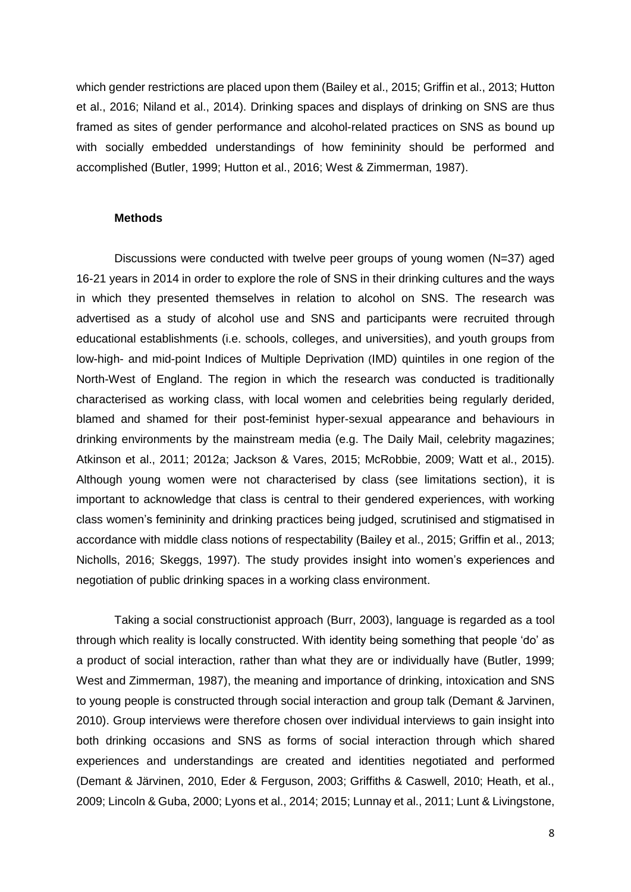which gender restrictions are placed upon them (Bailey et al., 2015; Griffin et al., 2013; Hutton et al., 2016; Niland et al., 2014). Drinking spaces and displays of drinking on SNS are thus framed as sites of gender performance and alcohol-related practices on SNS as bound up with socially embedded understandings of how femininity should be performed and accomplished (Butler, 1999; Hutton et al., 2016; West & Zimmerman, 1987).

#### **Methods**

Discussions were conducted with twelve peer groups of young women (N=37) aged 16-21 years in 2014 in order to explore the role of SNS in their drinking cultures and the ways in which they presented themselves in relation to alcohol on SNS. The research was advertised as a study of alcohol use and SNS and participants were recruited through educational establishments (i.e. schools, colleges, and universities), and youth groups from low-high- and mid-point Indices of Multiple Deprivation (IMD) quintiles in one region of the North-West of England. The region in which the research was conducted is traditionally characterised as working class, with local women and celebrities being regularly derided, blamed and shamed for their post-feminist hyper-sexual appearance and behaviours in drinking environments by the mainstream media (e.g. The Daily Mail, celebrity magazines; Atkinson et al., 2011; 2012a; Jackson & Vares, 2015; McRobbie, 2009; Watt et al., 2015). Although young women were not characterised by class (see limitations section), it is important to acknowledge that class is central to their gendered experiences, with working class women's femininity and drinking practices being judged, scrutinised and stigmatised in accordance with middle class notions of respectability (Bailey et al., 2015; Griffin et al., 2013; Nicholls, 2016; Skeggs, 1997). The study provides insight into women's experiences and negotiation of public drinking spaces in a working class environment.

Taking a social constructionist approach (Burr, 2003), language is regarded as a tool through which reality is locally constructed. With identity being something that people 'do' as a product of social interaction, rather than what they are or individually have (Butler, 1999; West and Zimmerman, 1987), the meaning and importance of drinking, intoxication and SNS to young people is constructed through social interaction and group talk (Demant & Jarvinen, 2010). Group interviews were therefore chosen over individual interviews to gain insight into both drinking occasions and SNS as forms of social interaction through which shared experiences and understandings are created and identities negotiated and performed (Demant & Järvinen, 2010, Eder & Ferguson, 2003; Griffiths & Caswell, 2010; Heath, et al., 2009; Lincoln & Guba, 2000; Lyons et al., 2014; 2015; Lunnay et al., 2011; Lunt & Livingstone,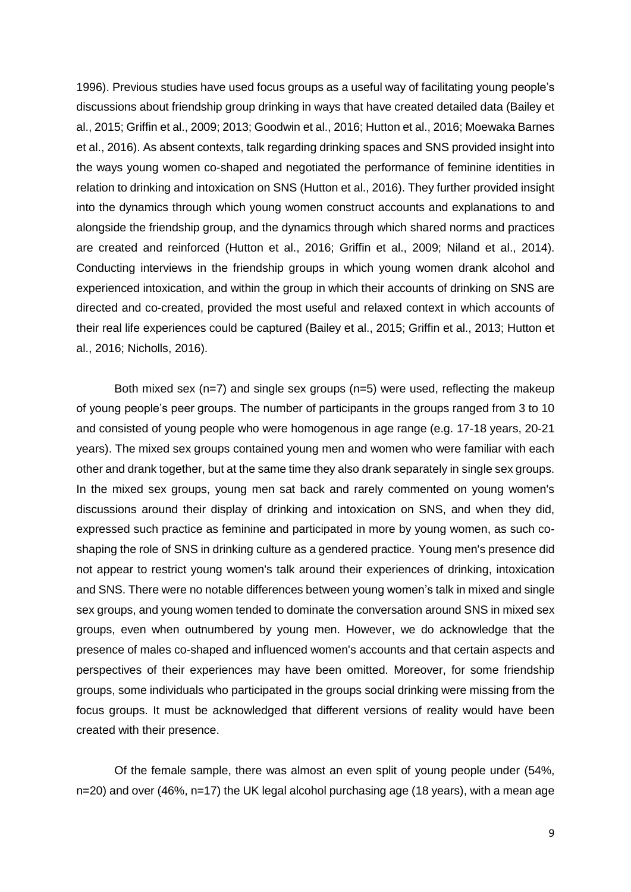1996). Previous studies have used focus groups as a useful way of facilitating young people's discussions about friendship group drinking in ways that have created detailed data (Bailey et al., 2015; Griffin et al., 2009; 2013; Goodwin et al., 2016; Hutton et al., 2016; Moewaka Barnes et al., 2016). As absent contexts, talk regarding drinking spaces and SNS provided insight into the ways young women co-shaped and negotiated the performance of feminine identities in relation to drinking and intoxication on SNS (Hutton et al., 2016). They further provided insight into the dynamics through which young women construct accounts and explanations to and alongside the friendship group, and the dynamics through which shared norms and practices are created and reinforced (Hutton et al., 2016; Griffin et al., 2009; Niland et al., 2014). Conducting interviews in the friendship groups in which young women drank alcohol and experienced intoxication, and within the group in which their accounts of drinking on SNS are directed and co-created, provided the most useful and relaxed context in which accounts of their real life experiences could be captured (Bailey et al., 2015; Griffin et al., 2013; Hutton et al., 2016; Nicholls, 2016).

Both mixed sex (n=7) and single sex groups (n=5) were used, reflecting the makeup of young people's peer groups. The number of participants in the groups ranged from 3 to 10 and consisted of young people who were homogenous in age range (e.g. 17-18 years, 20-21 years). The mixed sex groups contained young men and women who were familiar with each other and drank together, but at the same time they also drank separately in single sex groups. In the mixed sex groups, young men sat back and rarely commented on young women's discussions around their display of drinking and intoxication on SNS, and when they did, expressed such practice as feminine and participated in more by young women, as such coshaping the role of SNS in drinking culture as a gendered practice. Young men's presence did not appear to restrict young women's talk around their experiences of drinking, intoxication and SNS. There were no notable differences between young women's talk in mixed and single sex groups, and young women tended to dominate the conversation around SNS in mixed sex groups, even when outnumbered by young men. However, we do acknowledge that the presence of males co-shaped and influenced women's accounts and that certain aspects and perspectives of their experiences may have been omitted. Moreover, for some friendship groups, some individuals who participated in the groups social drinking were missing from the focus groups. It must be acknowledged that different versions of reality would have been created with their presence.

Of the female sample, there was almost an even split of young people under (54%, n=20) and over (46%, n=17) the UK legal alcohol purchasing age (18 years), with a mean age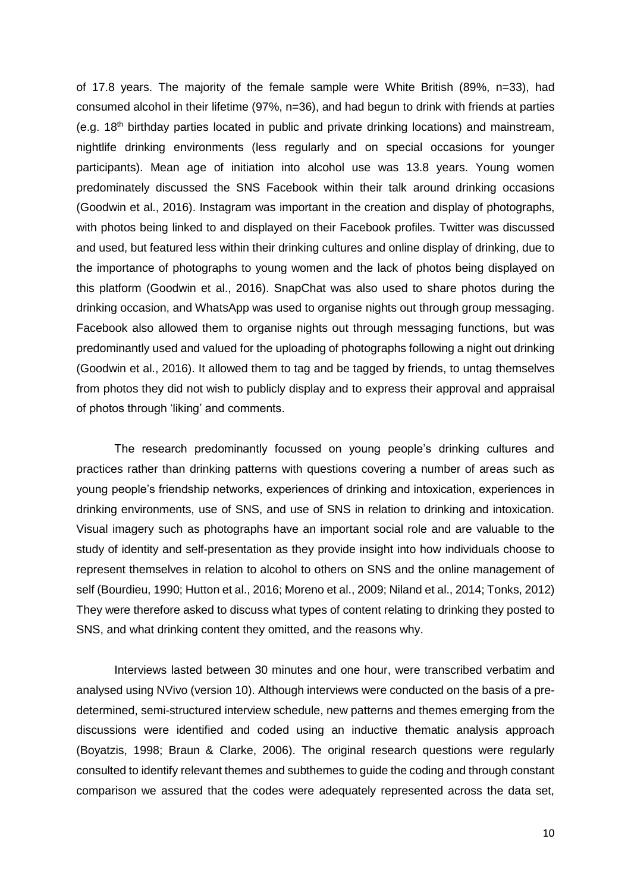of 17.8 years. The majority of the female sample were White British (89%, n=33), had consumed alcohol in their lifetime (97%, n=36), and had begun to drink with friends at parties (e.g. 18<sup>th</sup> birthday parties located in public and private drinking locations) and mainstream, nightlife drinking environments (less regularly and on special occasions for younger participants). Mean age of initiation into alcohol use was 13.8 years. Young women predominately discussed the SNS Facebook within their talk around drinking occasions (Goodwin et al., 2016). Instagram was important in the creation and display of photographs, with photos being linked to and displayed on their Facebook profiles. Twitter was discussed and used, but featured less within their drinking cultures and online display of drinking, due to the importance of photographs to young women and the lack of photos being displayed on this platform (Goodwin et al., 2016). SnapChat was also used to share photos during the drinking occasion, and WhatsApp was used to organise nights out through group messaging. Facebook also allowed them to organise nights out through messaging functions, but was predominantly used and valued for the uploading of photographs following a night out drinking (Goodwin et al., 2016). It allowed them to tag and be tagged by friends, to untag themselves from photos they did not wish to publicly display and to express their approval and appraisal of photos through 'liking' and comments.

The research predominantly focussed on young people's drinking cultures and practices rather than drinking patterns with questions covering a number of areas such as young people's friendship networks, experiences of drinking and intoxication, experiences in drinking environments, use of SNS, and use of SNS in relation to drinking and intoxication. Visual imagery such as photographs have an important social role and are valuable to the study of identity and self-presentation as they provide insight into how individuals choose to represent themselves in relation to alcohol to others on SNS and the online management of self (Bourdieu, 1990; Hutton et al., 2016; Moreno et al., 2009; Niland et al., 2014; Tonks, 2012) They were therefore asked to discuss what types of content relating to drinking they posted to SNS, and what drinking content they omitted, and the reasons why.

Interviews lasted between 30 minutes and one hour, were transcribed verbatim and analysed using NVivo (version 10). Although interviews were conducted on the basis of a predetermined, semi-structured interview schedule, new patterns and themes emerging from the discussions were identified and coded using an inductive thematic analysis approach (Boyatzis, 1998; Braun & Clarke, 2006). The original research questions were regularly consulted to identify relevant themes and subthemes to guide the coding and through constant comparison we assured that the codes were adequately represented across the data set,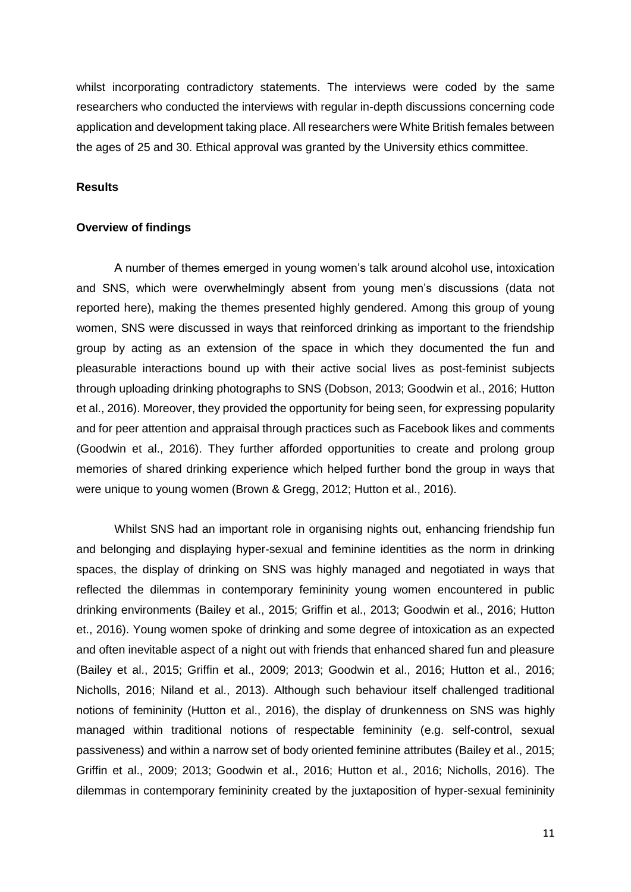whilst incorporating contradictory statements. The interviews were coded by the same researchers who conducted the interviews with regular in-depth discussions concerning code application and development taking place. All researchers were White British females between the ages of 25 and 30. Ethical approval was granted by the University ethics committee.

#### **Results**

#### **Overview of findings**

A number of themes emerged in young women's talk around alcohol use, intoxication and SNS, which were overwhelmingly absent from young men's discussions (data not reported here), making the themes presented highly gendered. Among this group of young women, SNS were discussed in ways that reinforced drinking as important to the friendship group by acting as an extension of the space in which they documented the fun and pleasurable interactions bound up with their active social lives as post-feminist subjects through uploading drinking photographs to SNS (Dobson, 2013; Goodwin et al., 2016; Hutton et al., 2016). Moreover, they provided the opportunity for being seen, for expressing popularity and for peer attention and appraisal through practices such as Facebook likes and comments (Goodwin et al., 2016). They further afforded opportunities to create and prolong group memories of shared drinking experience which helped further bond the group in ways that were unique to young women (Brown & Gregg, 2012; Hutton et al., 2016).

Whilst SNS had an important role in organising nights out, enhancing friendship fun and belonging and displaying hyper-sexual and feminine identities as the norm in drinking spaces, the display of drinking on SNS was highly managed and negotiated in ways that reflected the dilemmas in contemporary femininity young women encountered in public drinking environments (Bailey et al., 2015; Griffin et al., 2013; Goodwin et al., 2016; Hutton et., 2016). Young women spoke of drinking and some degree of intoxication as an expected and often inevitable aspect of a night out with friends that enhanced shared fun and pleasure (Bailey et al., 2015; Griffin et al., 2009; 2013; Goodwin et al., 2016; Hutton et al., 2016; Nicholls, 2016; Niland et al., 2013). Although such behaviour itself challenged traditional notions of femininity (Hutton et al., 2016), the display of drunkenness on SNS was highly managed within traditional notions of respectable femininity (e.g. self-control, sexual passiveness) and within a narrow set of body oriented feminine attributes (Bailey et al., 2015; Griffin et al., 2009; 2013; Goodwin et al., 2016; Hutton et al., 2016; Nicholls, 2016). The dilemmas in contemporary femininity created by the juxtaposition of hyper-sexual femininity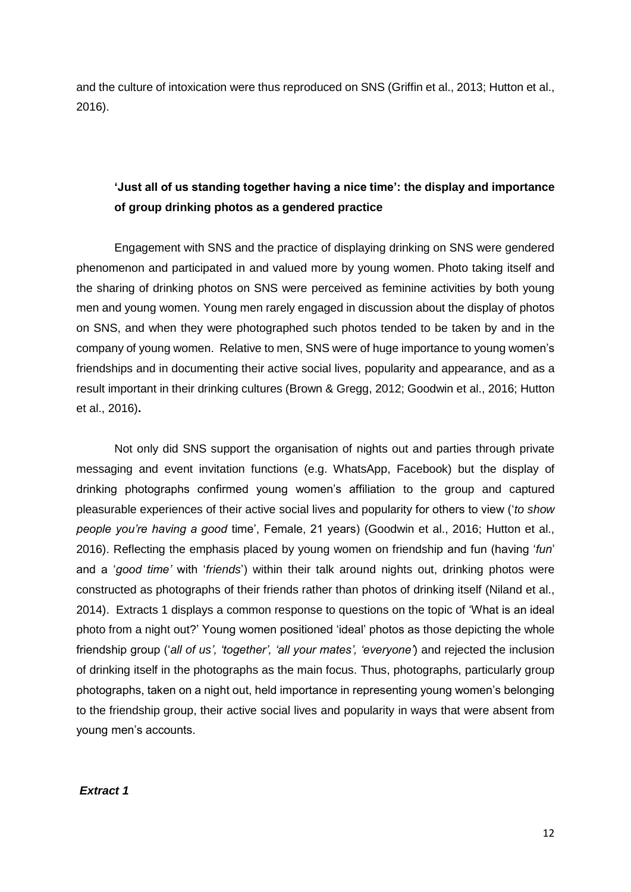and the culture of intoxication were thus reproduced on SNS (Griffin et al., 2013; Hutton et al., 2016).

# **'Just all of us standing together having a nice time': the display and importance of group drinking photos as a gendered practice**

Engagement with SNS and the practice of displaying drinking on SNS were gendered phenomenon and participated in and valued more by young women. Photo taking itself and the sharing of drinking photos on SNS were perceived as feminine activities by both young men and young women. Young men rarely engaged in discussion about the display of photos on SNS, and when they were photographed such photos tended to be taken by and in the company of young women. Relative to men, SNS were of huge importance to young women's friendships and in documenting their active social lives, popularity and appearance, and as a result important in their drinking cultures (Brown & Gregg, 2012; Goodwin et al., 2016; Hutton et al., 2016)**.**

Not only did SNS support the organisation of nights out and parties through private messaging and event invitation functions (e.g. WhatsApp, Facebook) but the display of drinking photographs confirmed young women's affiliation to the group and captured pleasurable experiences of their active social lives and popularity for others to view ('*to show people you're having a good* time', Female, 21 years) (Goodwin et al., 2016; Hutton et al., 2016). Reflecting the emphasis placed by young women on friendship and fun (having '*fun*' and a '*good time'* with '*friends*') within their talk around nights out, drinking photos were constructed as photographs of their friends rather than photos of drinking itself (Niland et al., 2014). Extracts 1 displays a common response to questions on the topic of 'What is an ideal photo from a night out?' Young women positioned 'ideal' photos as those depicting the whole friendship group ('*all of us', 'together', 'all your mates', 'everyone'*) and rejected the inclusion of drinking itself in the photographs as the main focus. Thus, photographs, particularly group photographs, taken on a night out, held importance in representing young women's belonging to the friendship group, their active social lives and popularity in ways that were absent from young men's accounts.

*Extract 1*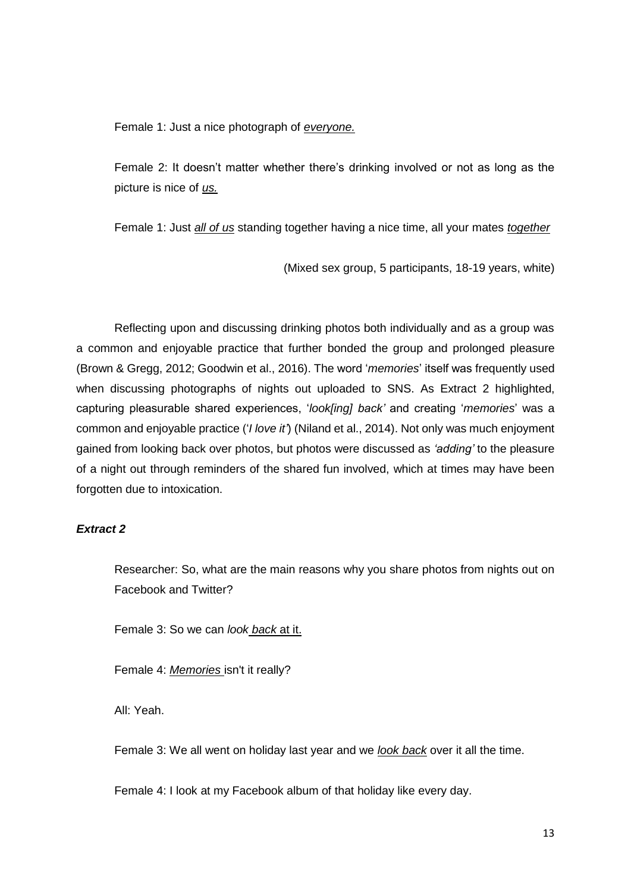Female 1: Just a nice photograph of *everyone.*

Female 2: It doesn't matter whether there's drinking involved or not as long as the picture is nice of *us.*

Female 1: Just *all of us* standing together having a nice time, all your mates *together*

(Mixed sex group, 5 participants, 18-19 years, white)

Reflecting upon and discussing drinking photos both individually and as a group was a common and enjoyable practice that further bonded the group and prolonged pleasure (Brown & Gregg, 2012; Goodwin et al., 2016). The word '*memories*' itself was frequently used when discussing photographs of nights out uploaded to SNS. As Extract 2 highlighted, capturing pleasurable shared experiences, '*look[ing] back'* and creating '*memories*' was a common and enjoyable practice ('*I love it'*) (Niland et al., 2014). Not only was much enjoyment gained from looking back over photos, but photos were discussed as *'adding'* to the pleasure of a night out through reminders of the shared fun involved, which at times may have been forgotten due to intoxication.

#### *Extract 2*

Researcher: So, what are the main reasons why you share photos from nights out on Facebook and Twitter?

Female 3: So we can *look back* at it.

Female 4: *Memories* isn't it really?

All: Yeah.

Female 3: We all went on holiday last year and we *look back* over it all the time.

Female 4: I look at my Facebook album of that holiday like every day.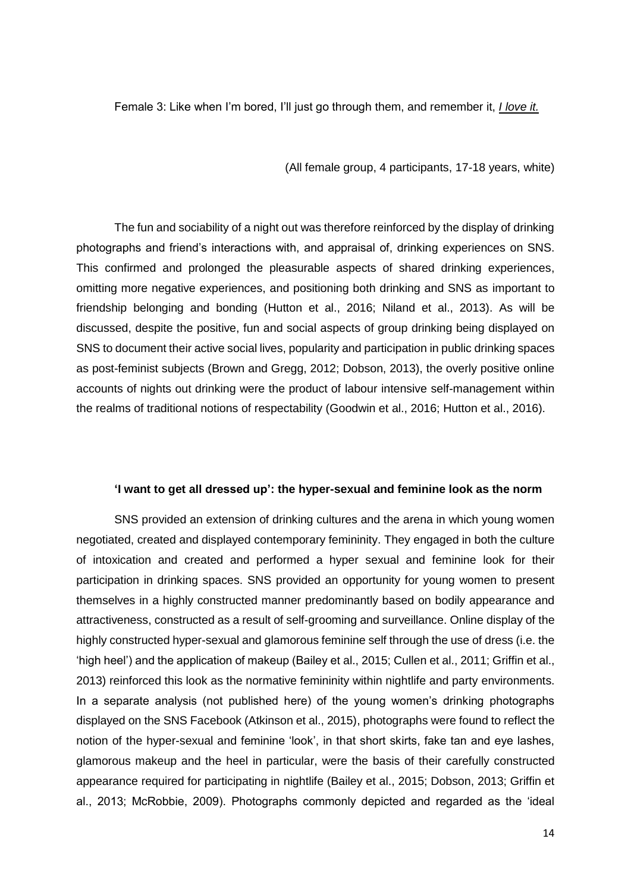Female 3: Like when I'm bored, I'll just go through them, and remember it, *I love it.*

(All female group, 4 participants, 17-18 years, white)

The fun and sociability of a night out was therefore reinforced by the display of drinking photographs and friend's interactions with, and appraisal of, drinking experiences on SNS. This confirmed and prolonged the pleasurable aspects of shared drinking experiences, omitting more negative experiences, and positioning both drinking and SNS as important to friendship belonging and bonding (Hutton et al., 2016; Niland et al., 2013). As will be discussed, despite the positive, fun and social aspects of group drinking being displayed on SNS to document their active social lives, popularity and participation in public drinking spaces as post-feminist subjects (Brown and Gregg, 2012; Dobson, 2013), the overly positive online accounts of nights out drinking were the product of labour intensive self-management within the realms of traditional notions of respectability (Goodwin et al., 2016; Hutton et al., 2016).

#### **'I want to get all dressed up': the hyper-sexual and feminine look as the norm**

SNS provided an extension of drinking cultures and the arena in which young women negotiated, created and displayed contemporary femininity. They engaged in both the culture of intoxication and created and performed a hyper sexual and feminine look for their participation in drinking spaces. SNS provided an opportunity for young women to present themselves in a highly constructed manner predominantly based on bodily appearance and attractiveness, constructed as a result of self-grooming and surveillance. Online display of the highly constructed hyper-sexual and glamorous feminine self through the use of dress (i.e. the 'high heel') and the application of makeup (Bailey et al., 2015; Cullen et al., 2011; Griffin et al., 2013) reinforced this look as the normative femininity within nightlife and party environments. In a separate analysis (not published here) of the young women's drinking photographs displayed on the SNS Facebook (Atkinson et al., 2015), photographs were found to reflect the notion of the hyper-sexual and feminine 'look', in that short skirts, fake tan and eye lashes, glamorous makeup and the heel in particular, were the basis of their carefully constructed appearance required for participating in nightlife (Bailey et al., 2015; Dobson, 2013; Griffin et al., 2013; McRobbie, 2009). Photographs commonly depicted and regarded as the 'ideal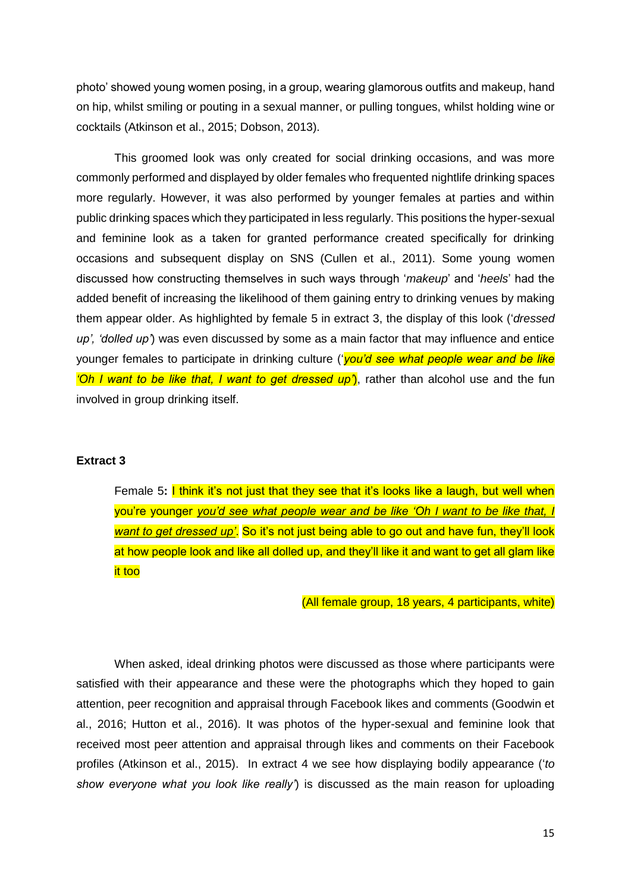photo' showed young women posing, in a group, wearing glamorous outfits and makeup, hand on hip, whilst smiling or pouting in a sexual manner, or pulling tongues, whilst holding wine or cocktails (Atkinson et al., 2015; Dobson, 2013).

This groomed look was only created for social drinking occasions, and was more commonly performed and displayed by older females who frequented nightlife drinking spaces more regularly. However, it was also performed by younger females at parties and within public drinking spaces which they participated in less regularly. This positions the hyper-sexual and feminine look as a taken for granted performance created specifically for drinking occasions and subsequent display on SNS (Cullen et al., 2011). Some young women discussed how constructing themselves in such ways through '*makeup*' and '*heels*' had the added benefit of increasing the likelihood of them gaining entry to drinking venues by making them appear older. As highlighted by female 5 in extract 3, the display of this look ('*dressed up', 'dolled up'*) was even discussed by some as a main factor that may influence and entice younger females to participate in drinking culture ('*you'd see what people wear and be like 'Oh I want to be like that, I want to get dressed up'*), rather than alcohol use and the fun involved in group drinking itself.

#### **Extract 3**

Female 5**:** I think it's not just that they see that it's looks like a laugh, but well when you're younger *you'd see what people wear and be like 'Oh I want to be like that, I want to get dressed up'*. So it's not just being able to go out and have fun, they'll look at how people look and like all dolled up, and they'll like it and want to get all glam like it too

(All female group, 18 years, 4 participants, white)

When asked, ideal drinking photos were discussed as those where participants were satisfied with their appearance and these were the photographs which they hoped to gain attention, peer recognition and appraisal through Facebook likes and comments (Goodwin et al., 2016; Hutton et al., 2016). It was photos of the hyper-sexual and feminine look that received most peer attention and appraisal through likes and comments on their Facebook profiles (Atkinson et al., 2015). In extract 4 we see how displaying bodily appearance ('*to show everyone what you look like really'*) is discussed as the main reason for uploading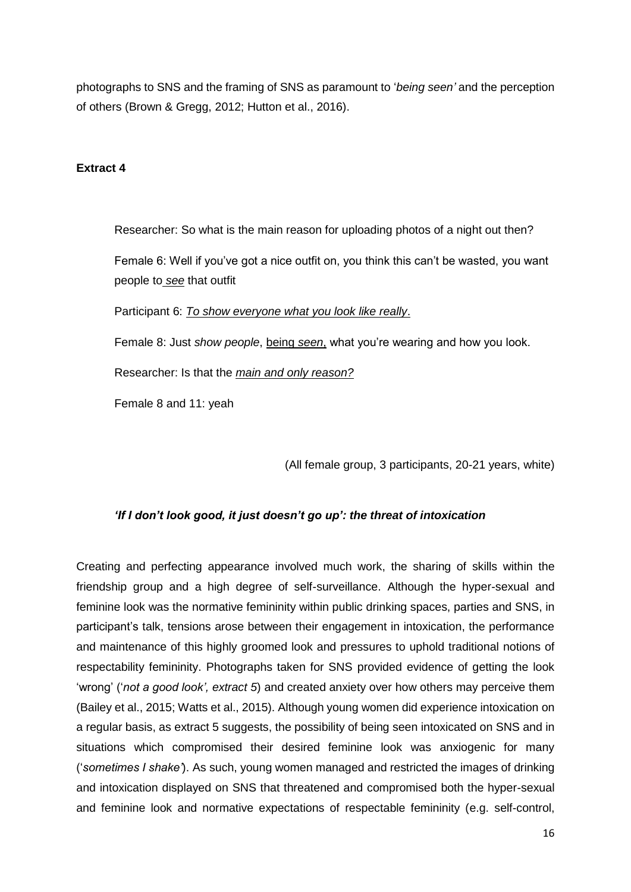photographs to SNS and the framing of SNS as paramount to '*being seen'* and the perception of others (Brown & Gregg, 2012; Hutton et al., 2016).

#### **Extract 4**

Researcher: So what is the main reason for uploading photos of a night out then? Female 6: Well if you've got a nice outfit on, you think this can't be wasted, you want people to *see* that outfit

Participant 6: *To show everyone what you look like really*.

Female 8: Just *show people*, being *seen*, what you're wearing and how you look.

Researcher: Is that the *main and only reason?*

Female 8 and 11: yeah

(All female group, 3 participants, 20-21 years, white)

#### *'If I don't look good, it just doesn't go up': the threat of intoxication*

Creating and perfecting appearance involved much work, the sharing of skills within the friendship group and a high degree of self-surveillance. Although the hyper-sexual and feminine look was the normative femininity within public drinking spaces, parties and SNS, in participant's talk, tensions arose between their engagement in intoxication, the performance and maintenance of this highly groomed look and pressures to uphold traditional notions of respectability femininity. Photographs taken for SNS provided evidence of getting the look 'wrong' ('*not a good look', extract 5*) and created anxiety over how others may perceive them (Bailey et al., 2015; Watts et al., 2015). Although young women did experience intoxication on a regular basis, as extract 5 suggests, the possibility of being seen intoxicated on SNS and in situations which compromised their desired feminine look was anxiogenic for many ('*sometimes I shake'*). As such, young women managed and restricted the images of drinking and intoxication displayed on SNS that threatened and compromised both the hyper-sexual and feminine look and normative expectations of respectable femininity (e.g. self-control,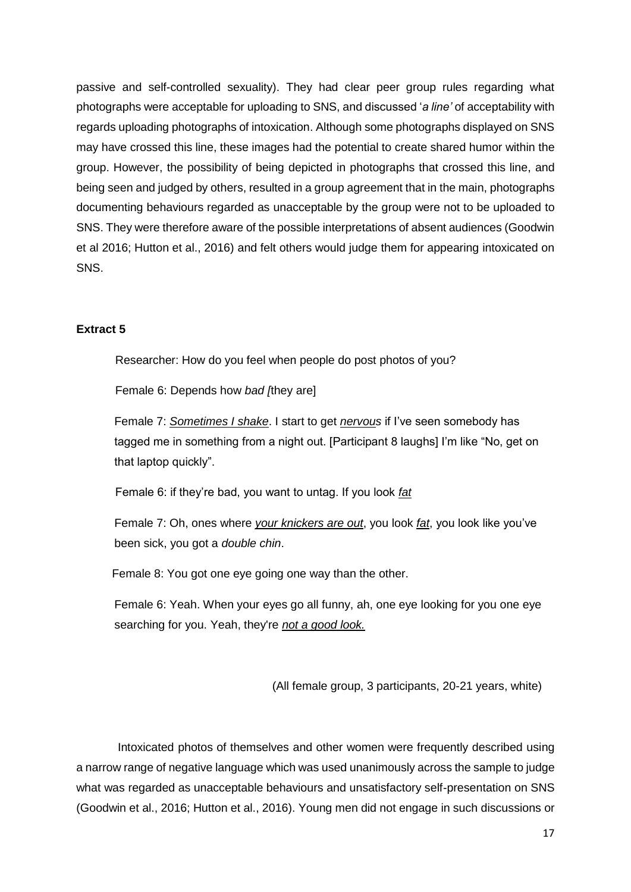passive and self-controlled sexuality). They had clear peer group rules regarding what photographs were acceptable for uploading to SNS, and discussed '*a line'* of acceptability with regards uploading photographs of intoxication. Although some photographs displayed on SNS may have crossed this line, these images had the potential to create shared humor within the group. However, the possibility of being depicted in photographs that crossed this line, and being seen and judged by others, resulted in a group agreement that in the main, photographs documenting behaviours regarded as unacceptable by the group were not to be uploaded to SNS. They were therefore aware of the possible interpretations of absent audiences (Goodwin et al 2016; Hutton et al., 2016) and felt others would judge them for appearing intoxicated on SNS.

#### **Extract 5**

Researcher: How do you feel when people do post photos of you?

Female 6: Depends how *bad [*they are]

Female 7: *Sometimes I shake*. I start to get *nervous* if I've seen somebody has tagged me in something from a night out. [Participant 8 laughs] I'm like "No, get on that laptop quickly".

Female 6: if they're bad, you want to untag. If you look *fat*

Female 7: Oh, ones where *your knickers are out*, you look *fat*, you look like you've been sick, you got a *double chin*.

Female 8: You got one eye going one way than the other.

Female 6: Yeah. When your eyes go all funny, ah, one eye looking for you one eye searching for you. Yeah, they're *not a good look.*

(All female group, 3 participants, 20-21 years, white)

Intoxicated photos of themselves and other women were frequently described using a narrow range of negative language which was used unanimously across the sample to judge what was regarded as unacceptable behaviours and unsatisfactory self-presentation on SNS (Goodwin et al., 2016; Hutton et al., 2016). Young men did not engage in such discussions or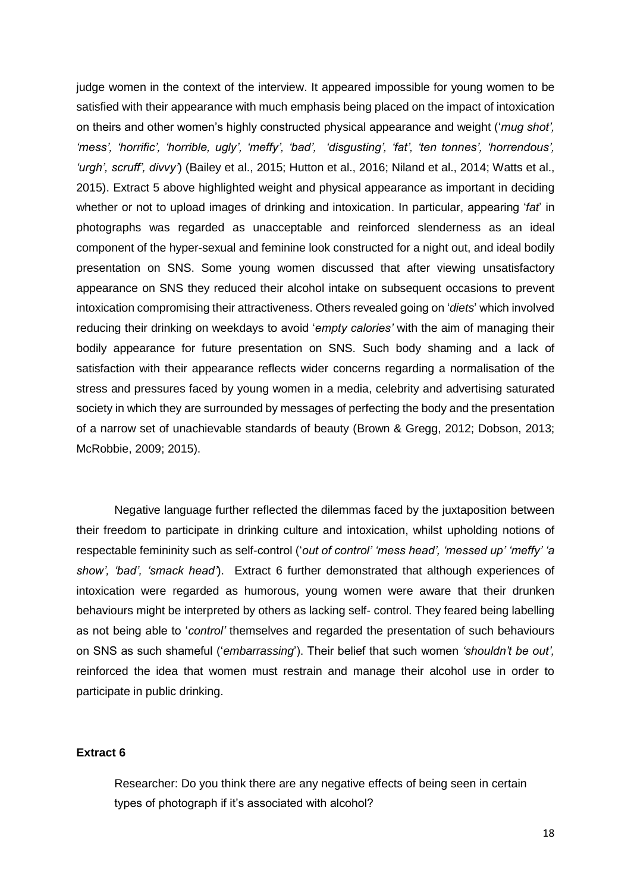judge women in the context of the interview. It appeared impossible for young women to be satisfied with their appearance with much emphasis being placed on the impact of intoxication on theirs and other women's highly constructed physical appearance and weight ('*mug shot', 'mess', 'horrific', 'horrible, ugly', 'meffy', 'bad', 'disgusting', 'fat', 'ten tonnes', 'horrendous', 'urgh', scruff', divvy'*) (Bailey et al., 2015; Hutton et al., 2016; Niland et al., 2014; Watts et al., 2015). Extract 5 above highlighted weight and physical appearance as important in deciding whether or not to upload images of drinking and intoxication. In particular, appearing '*fat*' in photographs was regarded as unacceptable and reinforced slenderness as an ideal component of the hyper-sexual and feminine look constructed for a night out, and ideal bodily presentation on SNS. Some young women discussed that after viewing unsatisfactory appearance on SNS they reduced their alcohol intake on subsequent occasions to prevent intoxication compromising their attractiveness. Others revealed going on '*diets*' which involved reducing their drinking on weekdays to avoid '*empty calories'* with the aim of managing their bodily appearance for future presentation on SNS. Such body shaming and a lack of satisfaction with their appearance reflects wider concerns regarding a normalisation of the stress and pressures faced by young women in a media, celebrity and advertising saturated society in which they are surrounded by messages of perfecting the body and the presentation of a narrow set of unachievable standards of beauty (Brown & Gregg, 2012; Dobson, 2013; McRobbie, 2009; 2015).

Negative language further reflected the dilemmas faced by the juxtaposition between their freedom to participate in drinking culture and intoxication, whilst upholding notions of respectable femininity such as self-control ('*out of control' 'mess head', 'messed up' 'meffy' 'a show', 'bad', 'smack head'*). Extract 6 further demonstrated that although experiences of intoxication were regarded as humorous, young women were aware that their drunken behaviours might be interpreted by others as lacking self- control. They feared being labelling as not being able to '*control'* themselves and regarded the presentation of such behaviours on SNS as such shameful ('*embarrassing*'). Their belief that such women *'shouldn't be out',*  reinforced the idea that women must restrain and manage their alcohol use in order to participate in public drinking.

#### **Extract 6**

Researcher: Do you think there are any negative effects of being seen in certain types of photograph if it's associated with alcohol?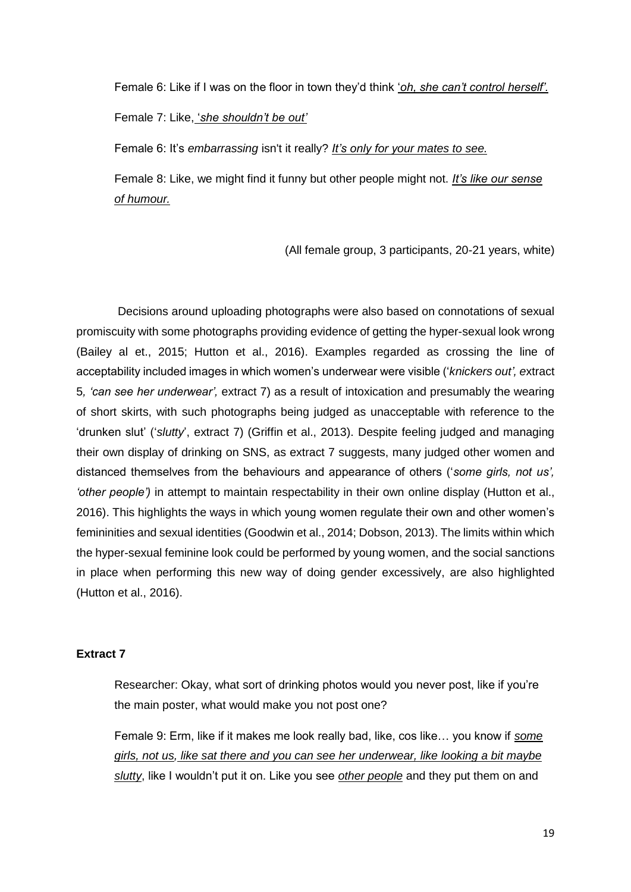Female 6: Like if I was on the floor in town they'd think '*oh, she can't control herself'.*

Female 7: Like, '*she shouldn't be out'*

Female 6: It's *embarrassing* isn't it really? *It's only for your mates to see.*

Female 8: Like, we might find it funny but other people might not. *It's like our sense of humour.*

(All female group, 3 participants, 20-21 years, white)

Decisions around uploading photographs were also based on connotations of sexual promiscuity with some photographs providing evidence of getting the hyper-sexual look wrong (Bailey al et., 2015; Hutton et al., 2016). Examples regarded as crossing the line of acceptability included images in which women's underwear were visible ('*knickers out', e*xtract 5*, 'can see her underwear',* extract 7) as a result of intoxication and presumably the wearing of short skirts, with such photographs being judged as unacceptable with reference to the 'drunken slut' ('*slutty*', extract 7) (Griffin et al., 2013). Despite feeling judged and managing their own display of drinking on SNS, as extract 7 suggests, many judged other women and distanced themselves from the behaviours and appearance of others ('*some girls, not us', 'other people')* in attempt to maintain respectability in their own online display (Hutton et al., 2016). This highlights the ways in which young women regulate their own and other women's femininities and sexual identities (Goodwin et al., 2014; Dobson, 2013). The limits within which the hyper-sexual feminine look could be performed by young women, and the social sanctions in place when performing this new way of doing gender excessively, are also highlighted (Hutton et al., 2016).

#### **Extract 7**

Researcher: Okay, what sort of drinking photos would you never post, like if you're the main poster, what would make you not post one?

Female 9: Erm, like if it makes me look really bad, like, cos like… you know if *some girls, not us, like sat there and you can see her underwear, like looking a bit maybe slutty*, like I wouldn't put it on. Like you see *other people* and they put them on and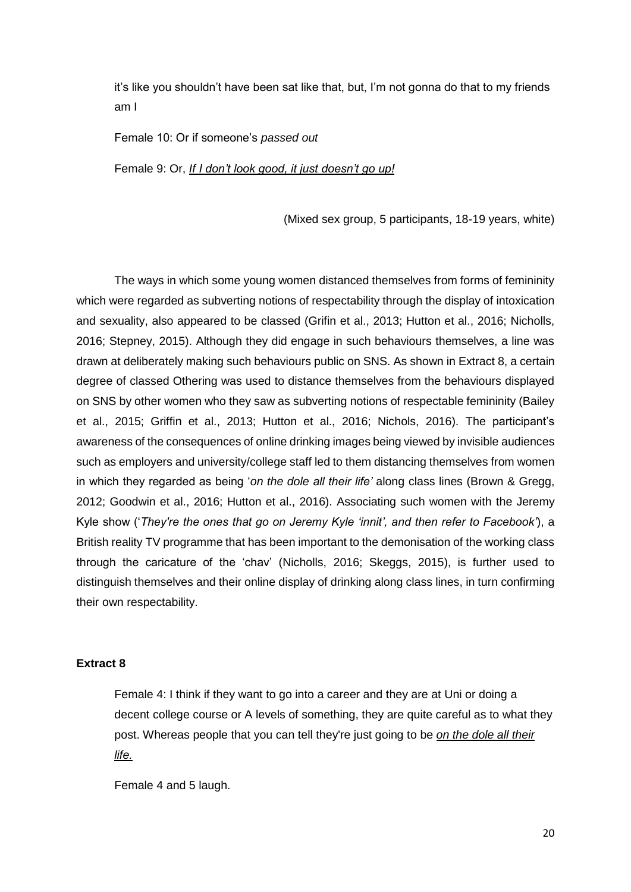it's like you shouldn't have been sat like that, but, I'm not gonna do that to my friends am I

Female 10: Or if someone's *passed out*

Female 9: Or, *If I don't look good, it just doesn't go up!*

(Mixed sex group, 5 participants, 18-19 years, white)

The ways in which some young women distanced themselves from forms of femininity which were regarded as subverting notions of respectability through the display of intoxication and sexuality, also appeared to be classed (Grifin et al., 2013; Hutton et al., 2016; Nicholls, 2016; Stepney, 2015). Although they did engage in such behaviours themselves, a line was drawn at deliberately making such behaviours public on SNS. As shown in Extract 8, a certain degree of classed Othering was used to distance themselves from the behaviours displayed on SNS by other women who they saw as subverting notions of respectable femininity (Bailey et al., 2015; Griffin et al., 2013; Hutton et al., 2016; Nichols, 2016). The participant's awareness of the consequences of online drinking images being viewed by invisible audiences such as employers and university/college staff led to them distancing themselves from women in which they regarded as being '*on the dole all their life'* along class lines (Brown & Gregg, 2012; Goodwin et al., 2016; Hutton et al., 2016). Associating such women with the Jeremy Kyle show ('*They're the ones that go on Jeremy Kyle 'innit', and then refer to Facebook'*), a British reality TV programme that has been important to the demonisation of the working class through the caricature of the 'chav' (Nicholls, 2016; Skeggs, 2015), is further used to distinguish themselves and their online display of drinking along class lines, in turn confirming their own respectability.

#### **Extract 8**

Female 4: I think if they want to go into a career and they are at Uni or doing a decent college course or A levels of something, they are quite careful as to what they post. Whereas people that you can tell they're just going to be *on the dole all their life.*

Female 4 and 5 laugh.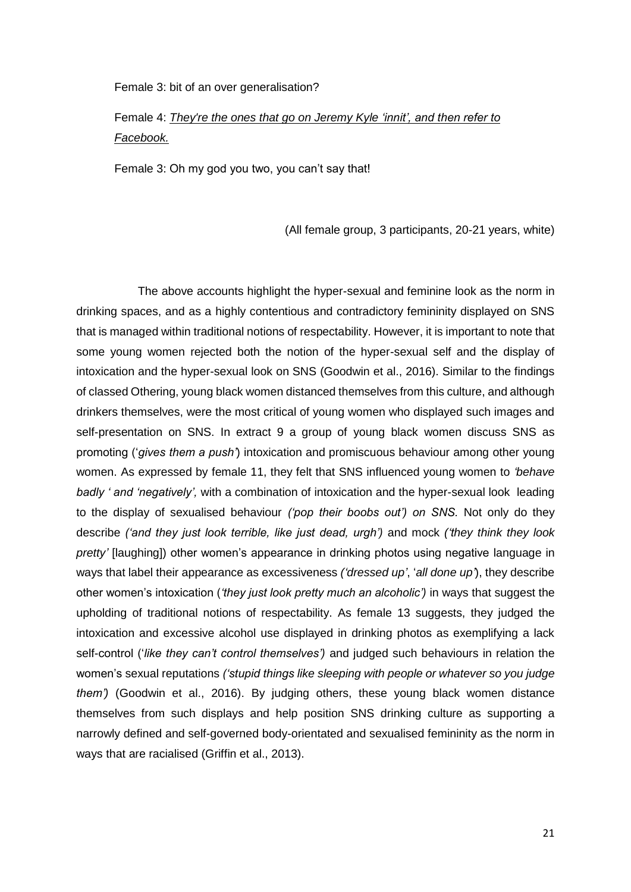#### Female 3: bit of an over generalisation?

## Female 4: *They're the ones that go on Jeremy Kyle 'innit', and then refer to Facebook.*

Female 3: Oh my god you two, you can't say that!

(All female group, 3 participants, 20-21 years, white)

 The above accounts highlight the hyper-sexual and feminine look as the norm in drinking spaces, and as a highly contentious and contradictory femininity displayed on SNS that is managed within traditional notions of respectability. However, it is important to note that some young women rejected both the notion of the hyper-sexual self and the display of intoxication and the hyper-sexual look on SNS (Goodwin et al., 2016). Similar to the findings of classed Othering, young black women distanced themselves from this culture, and although drinkers themselves, were the most critical of young women who displayed such images and self-presentation on SNS. In extract 9 a group of young black women discuss SNS as promoting ('*gives them a push'*) intoxication and promiscuous behaviour among other young women. As expressed by female 11, they felt that SNS influenced young women to *'behave badly ' and 'negatively',* with a combination of intoxication and the hyper-sexual look leading to the display of sexualised behaviour *('pop their boobs out') on SNS.* Not only do they describe *('and they just look terrible, like just dead, urgh')* and mock *('they think they look pretty'* [laughing]) other women's appearance in drinking photos using negative language in ways that label their appearance as excessiveness *('dressed up'*, '*all done up'*), they describe other women's intoxication (*'they just look pretty much an alcoholic')* in ways that suggest the upholding of traditional notions of respectability. As female 13 suggests, they judged the intoxication and excessive alcohol use displayed in drinking photos as exemplifying a lack self-control ('*like they can't control themselves')* and judged such behaviours in relation the women's sexual reputations *('stupid things like sleeping with people or whatever so you judge them')* (Goodwin et al., 2016). By judging others, these young black women distance themselves from such displays and help position SNS drinking culture as supporting a narrowly defined and self-governed body-orientated and sexualised femininity as the norm in ways that are racialised (Griffin et al., 2013).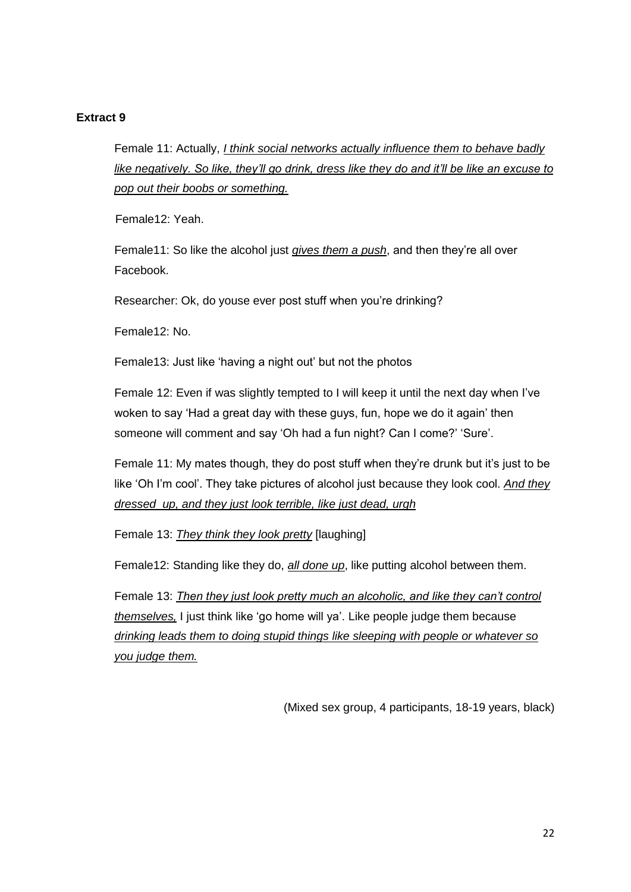#### **Extract 9**

Female 11: Actually, *I think social networks actually influence them to behave badly like negatively. So like, they'll go drink, dress like they do and it'll be like an excuse to pop out their boobs or something.*

Female12: Yeah.

Female11: So like the alcohol just *gives them a push*, and then they're all over Facebook.

Researcher: Ok, do youse ever post stuff when you're drinking?

Female12: No.

Female13: Just like 'having a night out' but not the photos

Female 12: Even if was slightly tempted to I will keep it until the next day when I've woken to say 'Had a great day with these guys, fun, hope we do it again' then someone will comment and say 'Oh had a fun night? Can I come?' 'Sure'.

Female 11: My mates though, they do post stuff when they're drunk but it's just to be like 'Oh I'm cool'. They take pictures of alcohol just because they look cool. *And they dressed up, and they just look terrible, like just dead, urgh* 

Female 13: *They think they look pretty* [laughing]

Female12: Standing like they do, *all done up*, like putting alcohol between them.

Female 13: *Then they just look pretty much an alcoholic, and like they can't control themselves,* I just think like 'go home will ya'. Like people judge them because *drinking leads them to doing stupid things like sleeping with people or whatever so you judge them.*

(Mixed sex group, 4 participants, 18-19 years, black)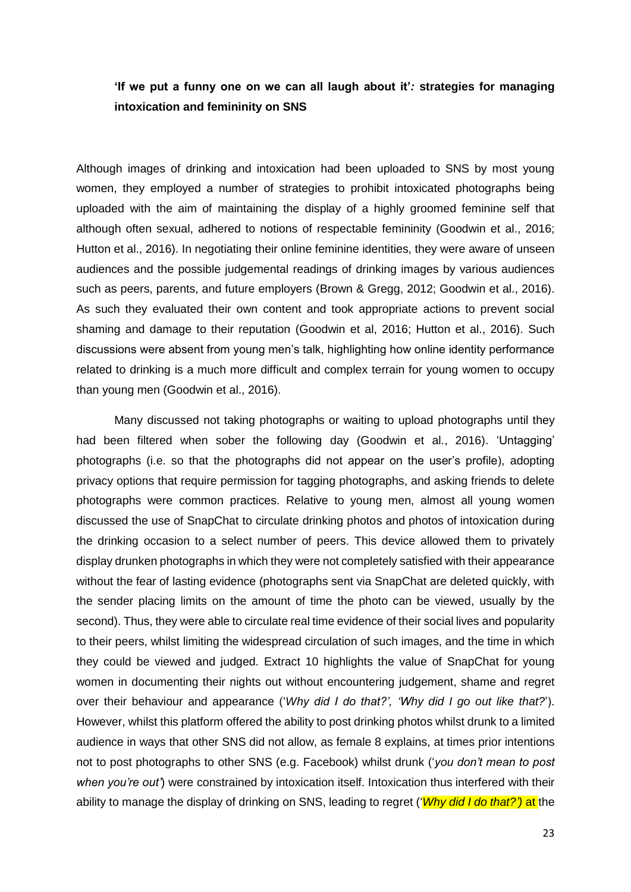### **'If we put a funny one on we can all laugh about it'***:* **strategies for managing intoxication and femininity on SNS**

Although images of drinking and intoxication had been uploaded to SNS by most young women, they employed a number of strategies to prohibit intoxicated photographs being uploaded with the aim of maintaining the display of a highly groomed feminine self that although often sexual, adhered to notions of respectable femininity (Goodwin et al., 2016; Hutton et al., 2016). In negotiating their online feminine identities, they were aware of unseen audiences and the possible judgemental readings of drinking images by various audiences such as peers, parents, and future employers (Brown & Gregg, 2012; Goodwin et al., 2016). As such they evaluated their own content and took appropriate actions to prevent social shaming and damage to their reputation (Goodwin et al, 2016; Hutton et al., 2016). Such discussions were absent from young men's talk, highlighting how online identity performance related to drinking is a much more difficult and complex terrain for young women to occupy than young men (Goodwin et al., 2016).

Many discussed not taking photographs or waiting to upload photographs until they had been filtered when sober the following day (Goodwin et al., 2016). 'Untagging' photographs (i.e. so that the photographs did not appear on the user's profile), adopting privacy options that require permission for tagging photographs, and asking friends to delete photographs were common practices. Relative to young men, almost all young women discussed the use of SnapChat to circulate drinking photos and photos of intoxication during the drinking occasion to a select number of peers. This device allowed them to privately display drunken photographs in which they were not completely satisfied with their appearance without the fear of lasting evidence (photographs sent via SnapChat are deleted quickly, with the sender placing limits on the amount of time the photo can be viewed, usually by the second). Thus, they were able to circulate real time evidence of their social lives and popularity to their peers, whilst limiting the widespread circulation of such images, and the time in which they could be viewed and judged. Extract 10 highlights the value of SnapChat for young women in documenting their nights out without encountering judgement, shame and regret over their behaviour and appearance ('*Why did I do that?', 'Why did I go out like that?*'). However, whilst this platform offered the ability to post drinking photos whilst drunk to a limited audience in ways that other SNS did not allow, as female 8 explains, at times prior intentions not to post photographs to other SNS (e.g. Facebook) whilst drunk ('*you don't mean to post when you're out'*) were constrained by intoxication itself. Intoxication thus interfered with their ability to manage the display of drinking on SNS, leading to regret ('*Why did I do that?')* at the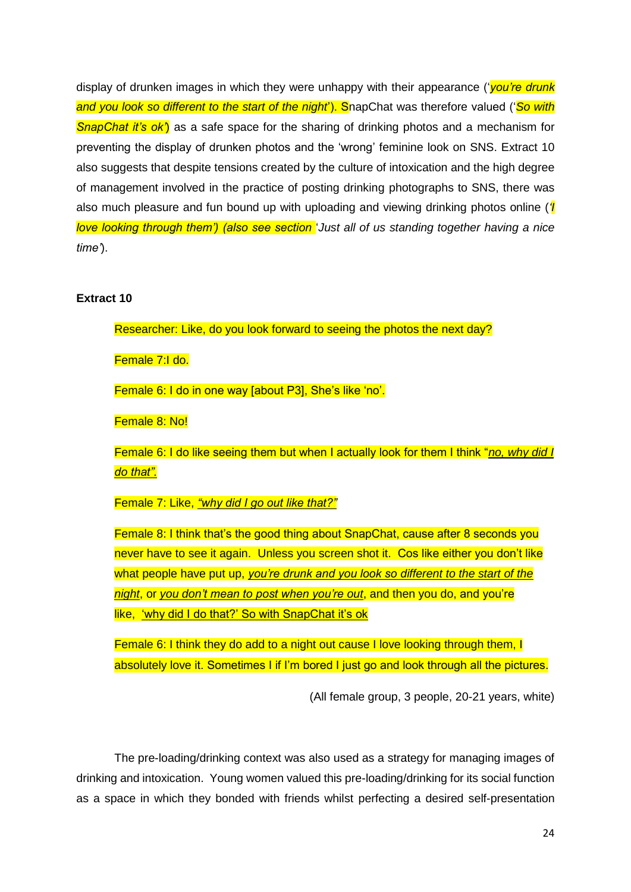display of drunken images in which they were unhappy with their appearance ('*you're drunk and you look so different to the start of the night*'). SnapChat was therefore valued ('*So with SnapChat it's ok'*) as a safe space for the sharing of drinking photos and a mechanism for preventing the display of drunken photos and the 'wrong' feminine look on SNS. Extract 10 also suggests that despite tensions created by the culture of intoxication and the high degree of management involved in the practice of posting drinking photographs to SNS, there was also much pleasure and fun bound up with uploading and viewing drinking photos online (*'I love looking through them') (also see section* '*Just all of us standing together having a nice time'*).

#### **Extract 10**

Researcher: Like, do you look forward to seeing the photos the next day?

Female 7:I do.

Female 6: I do in one way [about P3], She's like 'no'.

Female 8: No!

Female 6: I do like seeing them but when I actually look for them I think "*no, why did I do that".*

Female 7: Like, *"why did I go out like that?"*

Female 8: I think that's the good thing about SnapChat, cause after 8 seconds you never have to see it again. Unless you screen shot it. Cos like either you don't like what people have put up, *you're drunk and you look so different to the start of the night*, or *you don't mean to post when you're out*, and then you do, and you're like, 'why did I do that?' So with SnapChat it's ok

Female 6: I think they do add to a night out cause I love looking through them, I absolutely love it. Sometimes I if I'm bored I just go and look through all the pictures.

(All female group, 3 people, 20-21 years, white)

The pre-loading/drinking context was also used as a strategy for managing images of drinking and intoxication. Young women valued this pre-loading/drinking for its social function as a space in which they bonded with friends whilst perfecting a desired self-presentation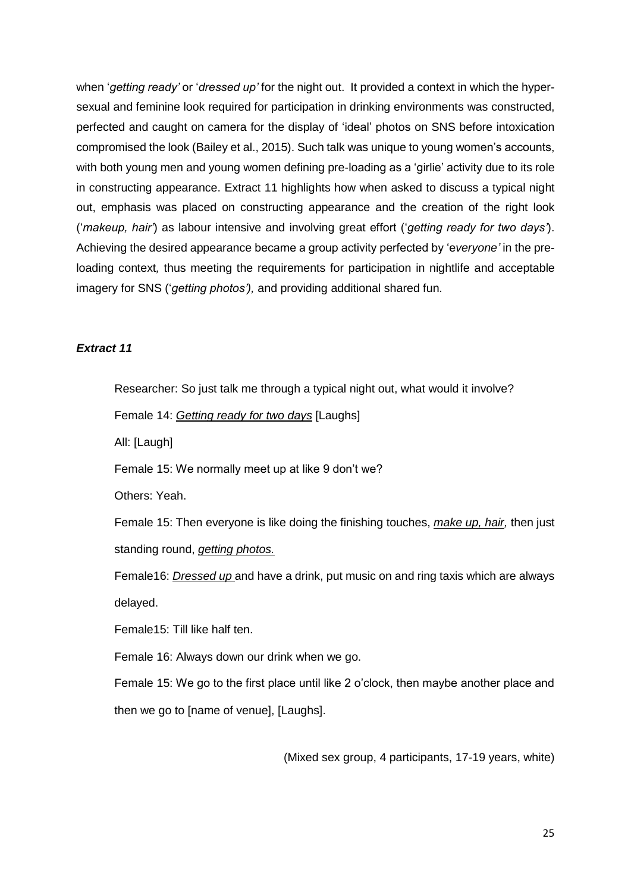when '*getting ready'* or '*dressed up'* for the night out. It provided a context in which the hypersexual and feminine look required for participation in drinking environments was constructed, perfected and caught on camera for the display of 'ideal' photos on SNS before intoxication compromised the look (Bailey et al., 2015). Such talk was unique to young women's accounts, with both young men and young women defining pre-loading as a 'girlie' activity due to its role in constructing appearance. Extract 11 highlights how when asked to discuss a typical night out, emphasis was placed on constructing appearance and the creation of the right look ('*makeup, hair'*) as labour intensive and involving great effort ('*getting ready for two days'*). Achieving the desired appearance became a group activity perfected by 'e*veryone'* in the preloading context*,* thus meeting the requirements for participation in nightlife and acceptable imagery for SNS ('*getting photos'),* and providing additional shared fun.

#### *Extract 11*

Researcher: So just talk me through a typical night out, what would it involve?

Female 14: *Getting ready for two days* [Laughs]

All: [Laugh]

Female 15: We normally meet up at like 9 don't we?

Others: Yeah.

Female 15: Then everyone is like doing the finishing touches, *make up, hair,* then just standing round, *getting photos.*

Female16: *Dressed up* and have a drink, put music on and ring taxis which are always delayed.

Female15: Till like half ten.

Female 16: Always down our drink when we go.

Female 15: We go to the first place until like 2 o'clock, then maybe another place and then we go to [name of venue], [Laughs].

(Mixed sex group, 4 participants, 17-19 years, white)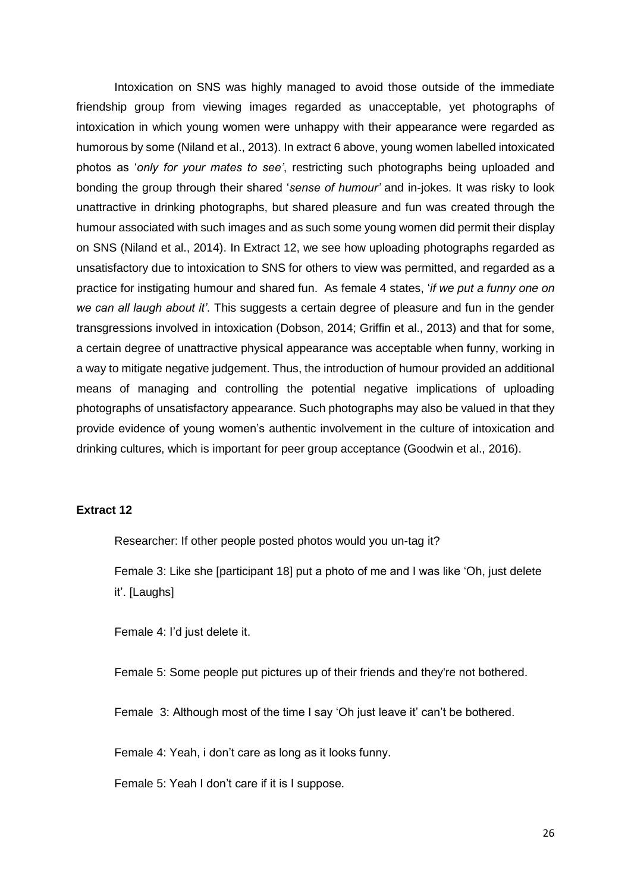Intoxication on SNS was highly managed to avoid those outside of the immediate friendship group from viewing images regarded as unacceptable, yet photographs of intoxication in which young women were unhappy with their appearance were regarded as humorous by some (Niland et al., 2013). In extract 6 above, young women labelled intoxicated photos as '*only for your mates to see'*, restricting such photographs being uploaded and bonding the group through their shared '*sense of humour'* and in-jokes. It was risky to look unattractive in drinking photographs, but shared pleasure and fun was created through the humour associated with such images and as such some young women did permit their display on SNS (Niland et al., 2014). In Extract 12, we see how uploading photographs regarded as unsatisfactory due to intoxication to SNS for others to view was permitted, and regarded as a practice for instigating humour and shared fun. As female 4 states, '*if we put a funny one on we can all laugh about it'*. This suggests a certain degree of pleasure and fun in the gender transgressions involved in intoxication (Dobson, 2014; Griffin et al., 2013) and that for some, a certain degree of unattractive physical appearance was acceptable when funny, working in a way to mitigate negative judgement. Thus, the introduction of humour provided an additional means of managing and controlling the potential negative implications of uploading photographs of unsatisfactory appearance. Such photographs may also be valued in that they provide evidence of young women's authentic involvement in the culture of intoxication and drinking cultures, which is important for peer group acceptance (Goodwin et al., 2016).

#### **Extract 12**

Researcher: If other people posted photos would you un-tag it?

Female 3: Like she [participant 18] put a photo of me and I was like 'Oh, just delete it'. [Laughs]

Female 4: I'd just delete it.

Female 5: Some people put pictures up of their friends and they're not bothered.

Female 3: Although most of the time I say 'Oh just leave it' can't be bothered.

Female 4: Yeah, i don't care as long as it looks funny.

Female 5: Yeah I don't care if it is I suppose.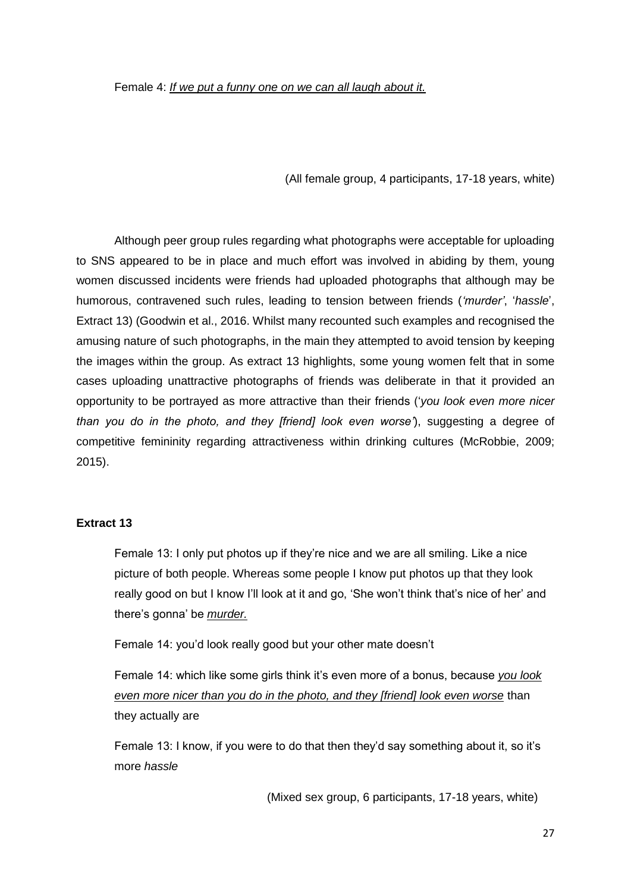(All female group, 4 participants, 17-18 years, white)

Although peer group rules regarding what photographs were acceptable for uploading to SNS appeared to be in place and much effort was involved in abiding by them, young women discussed incidents were friends had uploaded photographs that although may be humorous, contravened such rules, leading to tension between friends (*'murder'*, '*hassle*', Extract 13) (Goodwin et al., 2016. Whilst many recounted such examples and recognised the amusing nature of such photographs, in the main they attempted to avoid tension by keeping the images within the group. As extract 13 highlights, some young women felt that in some cases uploading unattractive photographs of friends was deliberate in that it provided an opportunity to be portrayed as more attractive than their friends ('*you look even more nicer than you do in the photo, and they [friend] look even worse'*), suggesting a degree of competitive femininity regarding attractiveness within drinking cultures (McRobbie, 2009; 2015).

#### **Extract 13**

Female 13: I only put photos up if they're nice and we are all smiling. Like a nice picture of both people. Whereas some people I know put photos up that they look really good on but I know I'll look at it and go, 'She won't think that's nice of her' and there's gonna' be *murder.*

Female 14: you'd look really good but your other mate doesn't

Female 14: which like some girls think it's even more of a bonus, because *you look even more nicer than you do in the photo, and they [friend] look even worse* than they actually are

Female 13: I know, if you were to do that then they'd say something about it, so it's more *hassle*

(Mixed sex group, 6 participants, 17-18 years, white)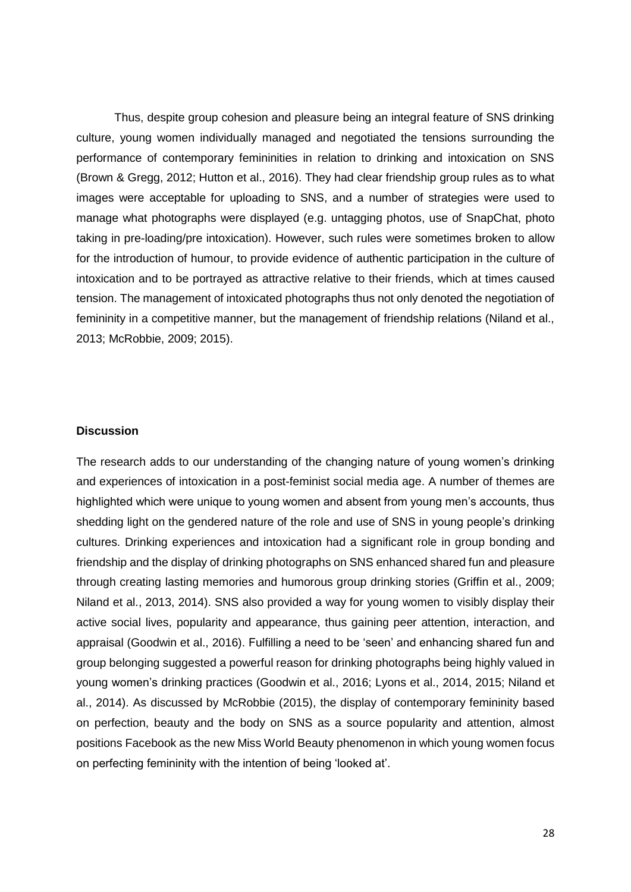Thus, despite group cohesion and pleasure being an integral feature of SNS drinking culture, young women individually managed and negotiated the tensions surrounding the performance of contemporary femininities in relation to drinking and intoxication on SNS (Brown & Gregg, 2012; Hutton et al., 2016). They had clear friendship group rules as to what images were acceptable for uploading to SNS, and a number of strategies were used to manage what photographs were displayed (e.g. untagging photos, use of SnapChat, photo taking in pre-loading/pre intoxication). However, such rules were sometimes broken to allow for the introduction of humour, to provide evidence of authentic participation in the culture of intoxication and to be portrayed as attractive relative to their friends, which at times caused tension. The management of intoxicated photographs thus not only denoted the negotiation of femininity in a competitive manner, but the management of friendship relations (Niland et al., 2013; McRobbie, 2009; 2015).

#### **Discussion**

The research adds to our understanding of the changing nature of young women's drinking and experiences of intoxication in a post-feminist social media age. A number of themes are highlighted which were unique to young women and absent from young men's accounts, thus shedding light on the gendered nature of the role and use of SNS in young people's drinking cultures. Drinking experiences and intoxication had a significant role in group bonding and friendship and the display of drinking photographs on SNS enhanced shared fun and pleasure through creating lasting memories and humorous group drinking stories (Griffin et al., 2009; Niland et al., 2013, 2014). SNS also provided a way for young women to visibly display their active social lives, popularity and appearance, thus gaining peer attention, interaction, and appraisal (Goodwin et al., 2016). Fulfilling a need to be 'seen' and enhancing shared fun and group belonging suggested a powerful reason for drinking photographs being highly valued in young women's drinking practices (Goodwin et al., 2016; Lyons et al., 2014, 2015; Niland et al., 2014). As discussed by McRobbie (2015), the display of contemporary femininity based on perfection, beauty and the body on SNS as a source popularity and attention, almost positions Facebook as the new Miss World Beauty phenomenon in which young women focus on perfecting femininity with the intention of being 'looked at'.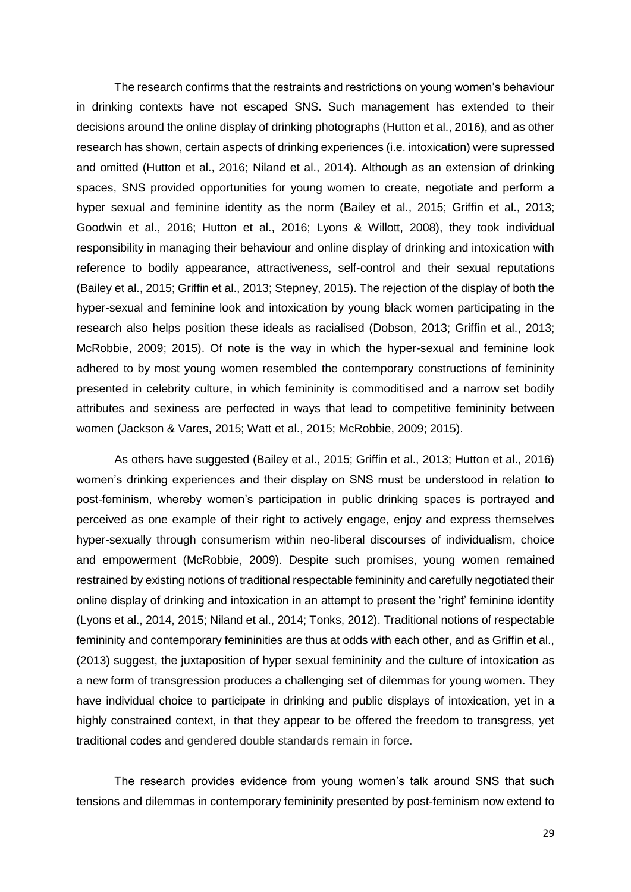The research confirms that the restraints and restrictions on young women's behaviour in drinking contexts have not escaped SNS. Such management has extended to their decisions around the online display of drinking photographs (Hutton et al., 2016), and as other research has shown, certain aspects of drinking experiences (i.e. intoxication) were supressed and omitted (Hutton et al., 2016; Niland et al., 2014). Although as an extension of drinking spaces, SNS provided opportunities for young women to create, negotiate and perform a hyper sexual and feminine identity as the norm (Bailey et al., 2015; Griffin et al., 2013; Goodwin et al., 2016; Hutton et al., 2016; Lyons & Willott, 2008), they took individual responsibility in managing their behaviour and online display of drinking and intoxication with reference to bodily appearance, attractiveness, self-control and their sexual reputations (Bailey et al., 2015; Griffin et al., 2013; Stepney, 2015). The rejection of the display of both the hyper-sexual and feminine look and intoxication by young black women participating in the research also helps position these ideals as racialised (Dobson, 2013; Griffin et al., 2013; McRobbie, 2009; 2015). Of note is the way in which the hyper-sexual and feminine look adhered to by most young women resembled the contemporary constructions of femininity presented in celebrity culture, in which femininity is commoditised and a narrow set bodily attributes and sexiness are perfected in ways that lead to competitive femininity between women (Jackson & Vares, 2015; Watt et al., 2015; McRobbie, 2009; 2015).

As others have suggested (Bailey et al., 2015; Griffin et al., 2013; Hutton et al., 2016) women's drinking experiences and their display on SNS must be understood in relation to post-feminism, whereby women's participation in public drinking spaces is portrayed and perceived as one example of their right to actively engage, enjoy and express themselves hyper-sexually through consumerism within neo-liberal discourses of individualism, choice and empowerment (McRobbie, 2009). Despite such promises, young women remained restrained by existing notions of traditional respectable femininity and carefully negotiated their online display of drinking and intoxication in an attempt to present the 'right' feminine identity (Lyons et al., 2014, 2015; Niland et al., 2014; Tonks, 2012). Traditional notions of respectable femininity and contemporary femininities are thus at odds with each other, and as Griffin et al., (2013) suggest, the juxtaposition of hyper sexual femininity and the culture of intoxication as a new form of transgression produces a challenging set of dilemmas for young women. They have individual choice to participate in drinking and public displays of intoxication, yet in a highly constrained context, in that they appear to be offered the freedom to transgress, yet traditional codes and gendered double standards remain in force.

The research provides evidence from young women's talk around SNS that such tensions and dilemmas in contemporary femininity presented by post-feminism now extend to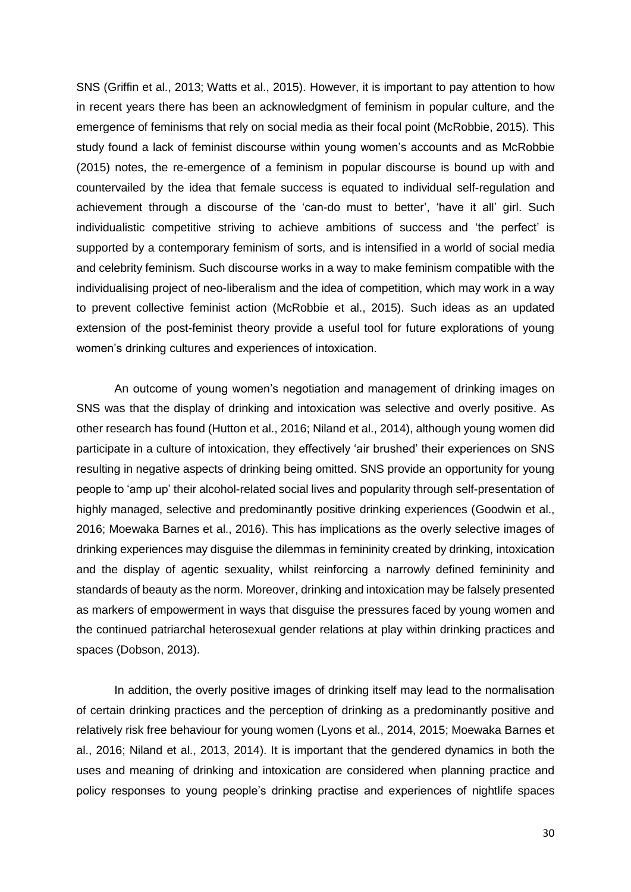SNS (Griffin et al., 2013; Watts et al., 2015). However, it is important to pay attention to how in recent years there has been an acknowledgment of feminism in popular culture, and the emergence of feminisms that rely on social media as their focal point (McRobbie, 2015). This study found a lack of feminist discourse within young women's accounts and as McRobbie (2015) notes, the re-emergence of a feminism in popular discourse is bound up with and countervailed by the idea that female success is equated to individual self-regulation and achievement through a discourse of the 'can-do must to better', 'have it all' girl. Such individualistic competitive striving to achieve ambitions of success and 'the perfect' is supported by a contemporary feminism of sorts, and is intensified in a world of social media and celebrity feminism. Such discourse works in a way to make feminism compatible with the individualising project of neo-liberalism and the idea of competition, which may work in a way to prevent collective feminist action (McRobbie et al., 2015). Such ideas as an updated extension of the post-feminist theory provide a useful tool for future explorations of young women's drinking cultures and experiences of intoxication.

An outcome of young women's negotiation and management of drinking images on SNS was that the display of drinking and intoxication was selective and overly positive. As other research has found (Hutton et al., 2016; Niland et al., 2014), although young women did participate in a culture of intoxication, they effectively 'air brushed' their experiences on SNS resulting in negative aspects of drinking being omitted. SNS provide an opportunity for young people to 'amp up' their alcohol-related social lives and popularity through self-presentation of highly managed, selective and predominantly positive drinking experiences (Goodwin et al., 2016; Moewaka Barnes et al., 2016). This has implications as the overly selective images of drinking experiences may disguise the dilemmas in femininity created by drinking, intoxication and the display of agentic sexuality, whilst reinforcing a narrowly defined femininity and standards of beauty as the norm. Moreover, drinking and intoxication may be falsely presented as markers of empowerment in ways that disguise the pressures faced by young women and the continued patriarchal heterosexual gender relations at play within drinking practices and spaces (Dobson, 2013).

In addition, the overly positive images of drinking itself may lead to the normalisation of certain drinking practices and the perception of drinking as a predominantly positive and relatively risk free behaviour for young women (Lyons et al., 2014, 2015; Moewaka Barnes et al., 2016; Niland et al., 2013, 2014). It is important that the gendered dynamics in both the uses and meaning of drinking and intoxication are considered when planning practice and policy responses to young people's drinking practise and experiences of nightlife spaces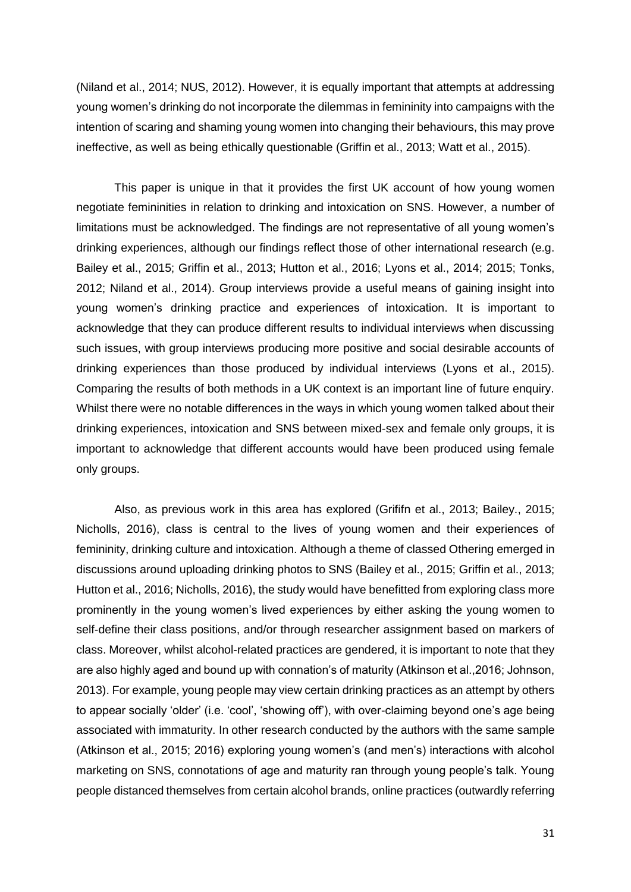(Niland et al., 2014; NUS, 2012). However, it is equally important that attempts at addressing young women's drinking do not incorporate the dilemmas in femininity into campaigns with the intention of scaring and shaming young women into changing their behaviours, this may prove ineffective, as well as being ethically questionable (Griffin et al., 2013; Watt et al., 2015).

This paper is unique in that it provides the first UK account of how young women negotiate femininities in relation to drinking and intoxication on SNS. However, a number of limitations must be acknowledged. The findings are not representative of all young women's drinking experiences, although our findings reflect those of other international research (e.g. Bailey et al., 2015; Griffin et al., 2013; Hutton et al., 2016; Lyons et al., 2014; 2015; Tonks, 2012; Niland et al., 2014). Group interviews provide a useful means of gaining insight into young women's drinking practice and experiences of intoxication. It is important to acknowledge that they can produce different results to individual interviews when discussing such issues, with group interviews producing more positive and social desirable accounts of drinking experiences than those produced by individual interviews (Lyons et al., 2015). Comparing the results of both methods in a UK context is an important line of future enquiry. Whilst there were no notable differences in the ways in which young women talked about their drinking experiences, intoxication and SNS between mixed-sex and female only groups, it is important to acknowledge that different accounts would have been produced using female only groups.

Also, as previous work in this area has explored (Grififn et al., 2013; Bailey., 2015; Nicholls, 2016), class is central to the lives of young women and their experiences of femininity, drinking culture and intoxication. Although a theme of classed Othering emerged in discussions around uploading drinking photos to SNS (Bailey et al., 2015; Griffin et al., 2013; Hutton et al., 2016; Nicholls, 2016), the study would have benefitted from exploring class more prominently in the young women's lived experiences by either asking the young women to self-define their class positions, and/or through researcher assignment based on markers of class. Moreover, whilst alcohol-related practices are gendered, it is important to note that they are also highly aged and bound up with connation's of maturity (Atkinson et al.,2016; Johnson, 2013). For example, young people may view certain drinking practices as an attempt by others to appear socially 'older' (i.e. 'cool', 'showing off'), with over-claiming beyond one's age being associated with immaturity. In other research conducted by the authors with the same sample (Atkinson et al., 2015; 2016) exploring young women's (and men's) interactions with alcohol marketing on SNS, connotations of age and maturity ran through young people's talk. Young people distanced themselves from certain alcohol brands, online practices (outwardly referring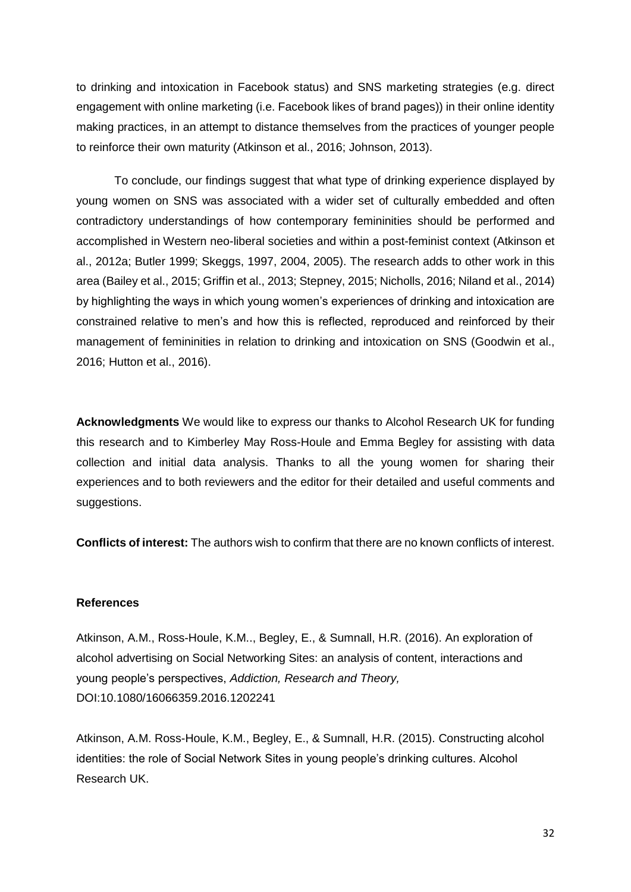to drinking and intoxication in Facebook status) and SNS marketing strategies (e.g. direct engagement with online marketing (i.e. Facebook likes of brand pages)) in their online identity making practices, in an attempt to distance themselves from the practices of younger people to reinforce their own maturity (Atkinson et al., 2016; Johnson, 2013).

To conclude, our findings suggest that what type of drinking experience displayed by young women on SNS was associated with a wider set of culturally embedded and often contradictory understandings of how contemporary femininities should be performed and accomplished in Western neo-liberal societies and within a post-feminist context (Atkinson et al., 2012a; Butler 1999; Skeggs, 1997, 2004, 2005). The research adds to other work in this area (Bailey et al., 2015; Griffin et al., 2013; Stepney, 2015; Nicholls, 2016; Niland et al., 2014) by highlighting the ways in which young women's experiences of drinking and intoxication are constrained relative to men's and how this is reflected, reproduced and reinforced by their management of femininities in relation to drinking and intoxication on SNS (Goodwin et al., 2016; Hutton et al., 2016).

**Acknowledgments** We would like to express our thanks to Alcohol Research UK for funding this research and to Kimberley May Ross-Houle and Emma Begley for assisting with data collection and initial data analysis. Thanks to all the young women for sharing their experiences and to both reviewers and the editor for their detailed and useful comments and suggestions.

**Conflicts of interest:** The authors wish to confirm that there are no known conflicts of interest.

#### **References**

Atkinson, A.M., Ross-Houle, K.M.., Begley, E., & Sumnall, H.R. (2016). An exploration of alcohol advertising on Social Networking Sites: an analysis of content, interactions and young people's perspectives, *Addiction, Research and Theory,*  DOI:10.1080/16066359.2016.1202241

Atkinson, A.M. Ross-Houle, K.M., Begley, E., & Sumnall, H.R. (2015). Constructing alcohol identities: the role of Social Network Sites in young people's drinking cultures. Alcohol Research UK.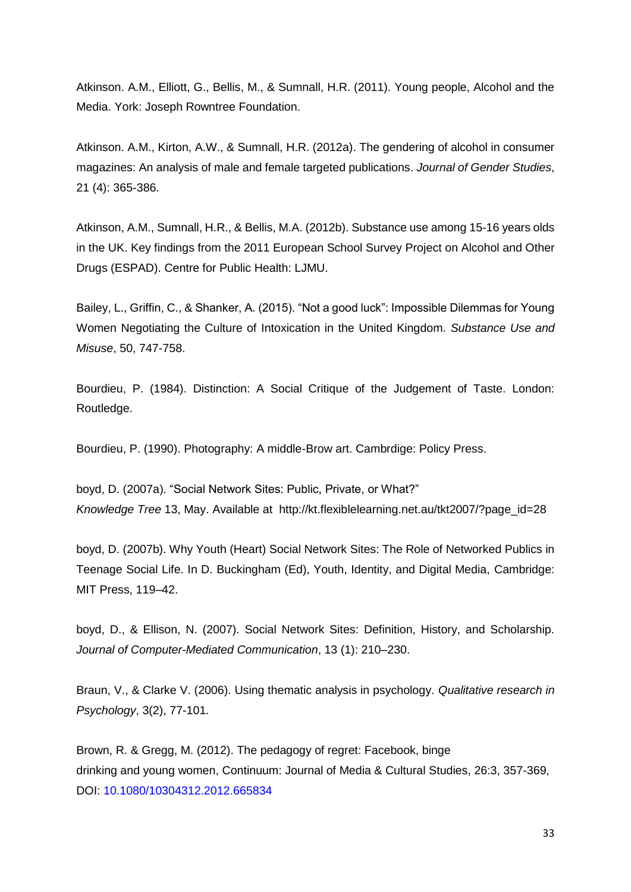Atkinson. A.M., Elliott, G., Bellis, M., & Sumnall, H.R. (2011). Young people, Alcohol and the Media. York: Joseph Rowntree Foundation.

Atkinson. A.M., Kirton, A.W., & Sumnall, H.R. (2012a). The gendering of alcohol in consumer magazines: An analysis of male and female targeted publications. *Journal of Gender Studies*, 21 (4): 365-386.

Atkinson, A.M., Sumnall, H.R., & Bellis, M.A. (2012b). Substance use among 15-16 years olds in the UK. Key findings from the 2011 European School Survey Project on Alcohol and Other Drugs (ESPAD). Centre for Public Health: LJMU.

Bailey, L., Griffin, C., & Shanker, A. (2015). "Not a good luck": Impossible Dilemmas for Young Women Negotiating the Culture of Intoxication in the United Kingdom. *Substance Use and Misuse*, 50, 747-758.

Bourdieu, P. (1984). Distinction: A Social Critique of the Judgement of Taste. London: Routledge.

Bourdieu, P. (1990). Photography: A middle-Brow art. Cambrdige: Policy Press.

boyd, D. (2007a). "Social Network Sites: Public, Private, or What?" *Knowledge Tree* 13, May. Available at http://kt.flexiblelearning.net.au/tkt2007/?page\_id=28

boyd, D. (2007b). Why Youth (Heart) Social Network Sites: The Role of Networked Publics in Teenage Social Life. In D. Buckingham (Ed), Youth, Identity, and Digital Media, Cambridge: MIT Press, 119–42.

boyd, D., & Ellison, N. (2007). Social Network Sites: Definition, History, and Scholarship. *Journal of Computer-Mediated Communication*, 13 (1): 210–230.

Braun, V., & Clarke V. (2006). Using thematic analysis in psychology. *Qualitative research in Psychology*, 3(2), 77-101.

Brown, R. & Gregg, M. (2012). The pedagogy of regret: Facebook, binge drinking and young women, Continuum: Journal of Media & Cultural Studies, 26:3, 357-369, DOI: 10.1080/10304312.2012.665834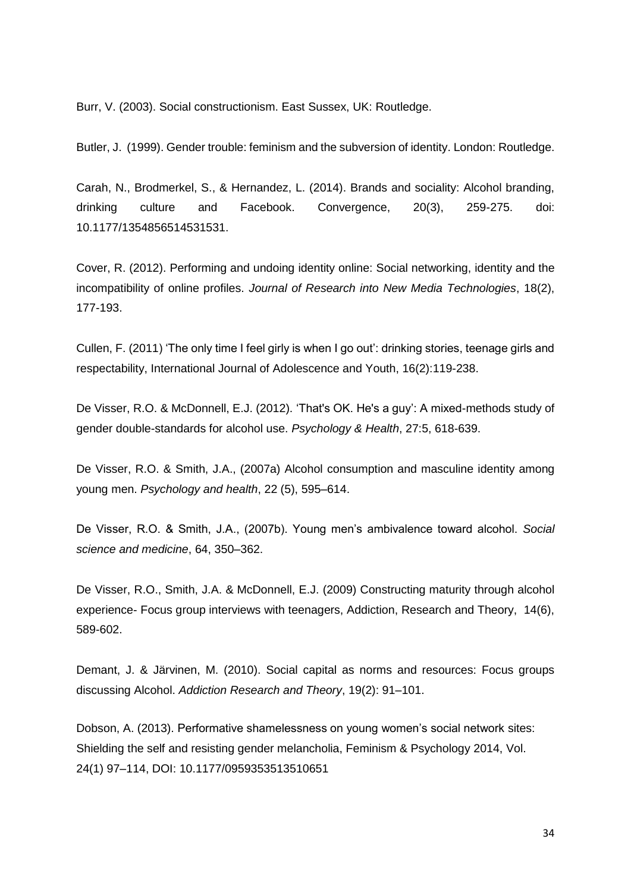Burr, V. (2003). Social constructionism. East Sussex, UK: Routledge.

Butler, J. (1999). Gender trouble: feminism and the subversion of identity. London: Routledge.

Carah, N., Brodmerkel, S., & Hernandez, L. (2014). Brands and sociality: Alcohol branding, drinking culture and Facebook. Convergence, 20(3), 259-275. doi: 10.1177/1354856514531531.

Cover, R. (2012). Performing and undoing identity online: Social networking, identity and the incompatibility of online profiles. *Journal of Research into New Media Technologies*, 18(2), 177-193.

Cullen, F. (2011) 'The only time I feel girly is when I go out': drinking stories, teenage girls and respectability, International Journal of Adolescence and Youth, 16(2):119-238.

De Visser, R.O. & McDonnell, E.J. (2012). 'That's OK. He's a guy': A mixed-methods study of gender double-standards for alcohol use. *Psychology & Health*, 27:5, 618-639.

De Visser, R.O. & Smith, J.A., (2007a) Alcohol consumption and masculine identity among young men. *Psychology and health*, 22 (5), 595–614.

De Visser, R.O. & Smith, J.A., (2007b). Young men's ambivalence toward alcohol. *Social science and medicine*, 64, 350–362.

De Visser, R.O., Smith, J.A. & McDonnell, E.J. (2009) Constructing maturity through alcohol experience- Focus group interviews with teenagers, Addiction, Research and Theory, 14(6), 589-602.

Demant, J. & Järvinen, M. (2010). Social capital as norms and resources: Focus groups discussing Alcohol. *Addiction Research and Theory*, 19(2): 91–101.

Dobson, A. (2013). Performative shamelessness on young women's social network sites: Shielding the self and resisting gender melancholia, Feminism & Psychology 2014, Vol. 24(1) 97–114, DOI: 10.1177/0959353513510651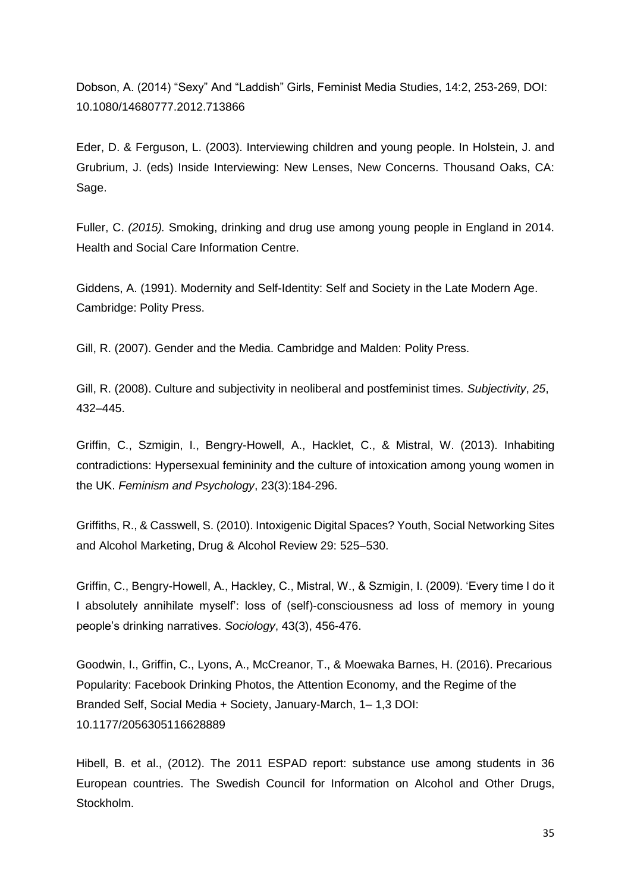Dobson, A. (2014) "Sexy" And "Laddish" Girls, Feminist Media Studies, 14:2, 253-269, DOI: 10.1080/14680777.2012.713866

Eder, D. & Ferguson, L. (2003). Interviewing children and young people. In Holstein, J. and Grubrium, J. (eds) Inside Interviewing: New Lenses, New Concerns. Thousand Oaks, CA: Sage.

Fuller, C. *(2015).* Smoking, drinking and drug use among young people in England in 2014. Health and Social Care Information Centre.

Giddens, A. (1991). Modernity and Self-Identity: Self and Society in the Late Modern Age. Cambridge: Polity Press.

Gill, R. (2007). Gender and the Media. Cambridge and Malden: Polity Press.

Gill, R. (2008). Culture and subjectivity in neoliberal and postfeminist times. *Subjectivity*, *25*, 432–445.

Griffin, C., Szmigin, I., Bengry-Howell, A., Hacklet, C., & Mistral, W. (2013). Inhabiting contradictions: Hypersexual femininity and the culture of intoxication among young women in the UK. *Feminism and Psychology*, 23(3):184-296.

Griffiths, R., & Casswell, S. (2010). Intoxigenic Digital Spaces? Youth, Social Networking Sites and Alcohol Marketing, Drug & Alcohol Review 29: 525–530.

Griffin, C., Bengry-Howell, A., Hackley, C., Mistral, W., & Szmigin, I. (2009). 'Every time I do it I absolutely annihilate myself': loss of (self)-consciousness ad loss of memory in young people's drinking narratives. *Sociology*, 43(3), 456-476.

Goodwin, I., Griffin, C., Lyons, A., McCreanor, T., & Moewaka Barnes, H. (2016). Precarious Popularity: Facebook Drinking Photos, the Attention Economy, and the Regime of the Branded Self, Social Media + Society, January-March, 1– 1,3 DOI: 10.1177/2056305116628889

Hibell, B. et al., (2012). The 2011 ESPAD report: substance use among students in 36 European countries. The Swedish Council for Information on Alcohol and Other Drugs, Stockholm.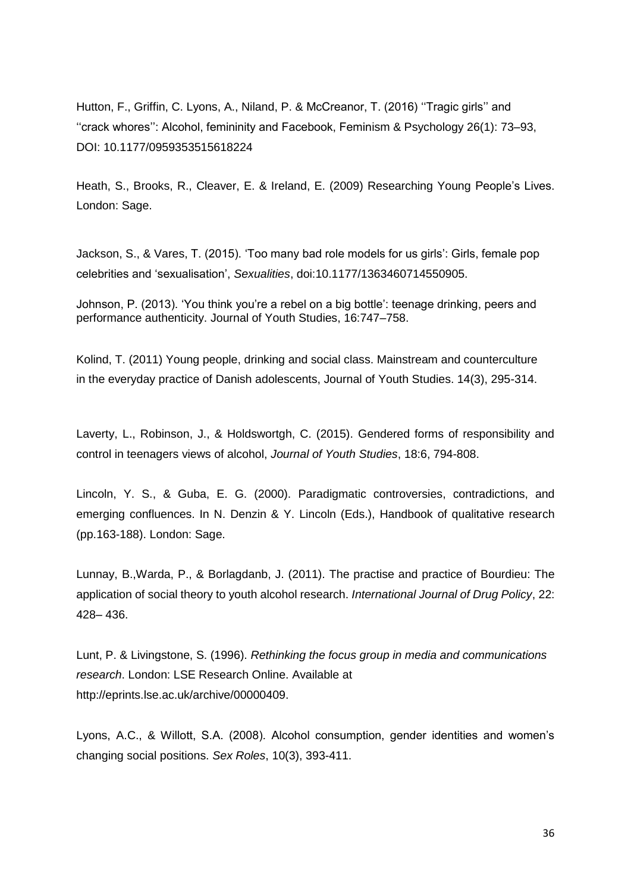Hutton, F., Griffin, C. Lyons, A., Niland, P. & McCreanor, T. (2016) ''Tragic girls'' and ''crack whores'': Alcohol, femininity and Facebook, Feminism & Psychology 26(1): 73–93, DOI: 10.1177/0959353515618224

Heath, S., Brooks, R., Cleaver, E. & Ireland, E. (2009) Researching Young People's Lives. London: Sage.

Jackson, S., & Vares, T. (2015). 'Too many bad role models for us girls': Girls, female pop celebrities and 'sexualisation', *Sexualities*, doi:10.1177/1363460714550905.

Johnson, P. (2013). 'You think you're a rebel on a big bottle': teenage drinking, peers and performance authenticity. Journal of Youth Studies, 16:747–758.

Kolind, T. (2011) Young people, drinking and social class. Mainstream and counterculture in the everyday practice of Danish adolescents, Journal of Youth Studies. 14(3), 295-314.

Laverty, L., Robinson, J., & Holdswortgh, C. (2015). Gendered forms of responsibility and control in teenagers views of alcohol, *Journal of Youth Studies*, 18:6, 794-808.

Lincoln, Y. S., & Guba, E. G. (2000). Paradigmatic controversies, contradictions, and emerging confluences. In N. Denzin & Y. Lincoln (Eds.), Handbook of qualitative research (pp.163-188). London: Sage.

Lunnay, B.,Warda, P., & Borlagdanb, J. (2011). The practise and practice of Bourdieu: The application of social theory to youth alcohol research. *International Journal of Drug Policy*, 22: 428– 436.

Lunt, P. & Livingstone, S. (1996). *Rethinking the focus group in media and communications research*. London: LSE Research Online. Available at http://eprints.lse.ac.uk/archive/00000409.

Lyons, A.C., & Willott, S.A. (2008). Alcohol consumption, gender identities and women's changing social positions. *Sex Roles*, 10(3), 393-411.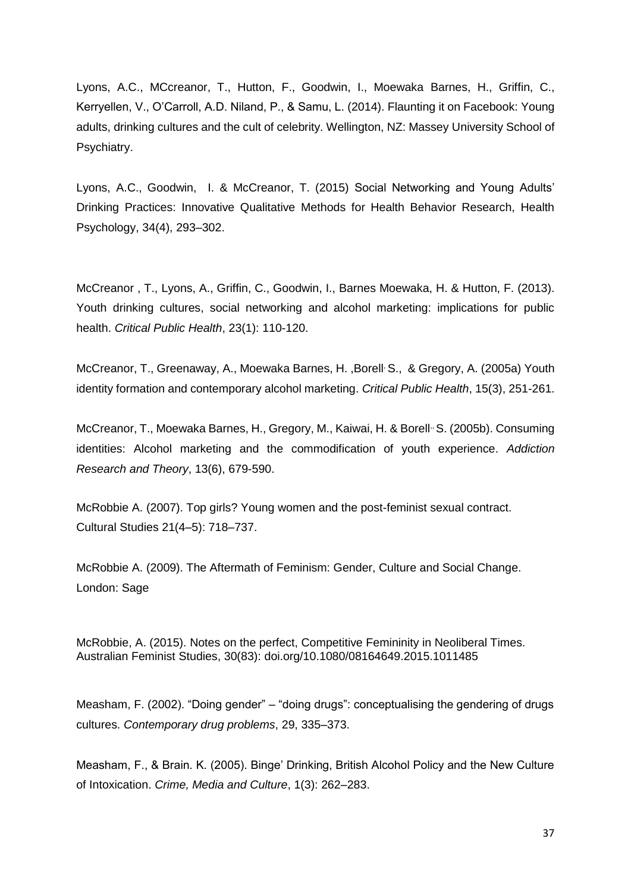Lyons, A.C., MCcreanor, T., Hutton, F., Goodwin, I., Moewaka Barnes, H., Griffin, C., Kerryellen, V., O'Carroll, A.D. Niland, P., & Samu, L. (2014). Flaunting it on Facebook: Young adults, drinking cultures and the cult of celebrity. Wellington, NZ: Massey University School of Psychiatry.

Lyons, A.C., Goodwin, I. & McCreanor, T. (2015) Social Networking and Young Adults' Drinking Practices: Innovative Qualitative Methods for Health Behavior Research, Health Psychology, 34(4), 293–302.

McCreanor , T., Lyons, A., Griffin, C., Goodwin, I., Barnes Moewaka, H. & Hutton, F. (2013). Youth drinking cultures, social networking and alcohol marketing: implications for public health. *Critical Public Health*, 23(1): 110-120.

McCreanor, T., Greenaway, A., Moewaka Barnes, H. ,Borell, S., & Gregory, A. (2005a) Youth identity formation and contemporary alcohol marketing. *Critical Public Health*, 15(3), 251-261.

McCreanor, T., Moewaka Barnes, H., Gregory, M., Kaiwai, H. & Borell<sup>,</sup> S. (2005b). Consuming identities: Alcohol marketing and the commodification of youth experience. *Addiction Research and Theory*, 13(6), 679-590.

McRobbie A. (2007). Top girls? Young women and the post-feminist sexual contract. Cultural Studies 21(4–5): 718–737.

McRobbie A. (2009). The Aftermath of Feminism: Gender, Culture and Social Change. London: Sage

McRobbie, A. (2015). Notes on the perfect, Competitive Femininity in Neoliberal Times. Australian Feminist Studies, 30(83): [doi.org/10.1080/08164649.2015.1011485](http://dx.doi.org/10.1080/08164649.2015.1011485)

Measham, F. (2002). "Doing gender" – "doing drugs": conceptualising the gendering of drugs cultures. *Contemporary drug problems*, 29, 335–373.

Measham, F., & Brain. K. (2005). Binge' Drinking, British Alcohol Policy and the New Culture of Intoxication. *Crime, Media and Culture*, 1(3): 262–283.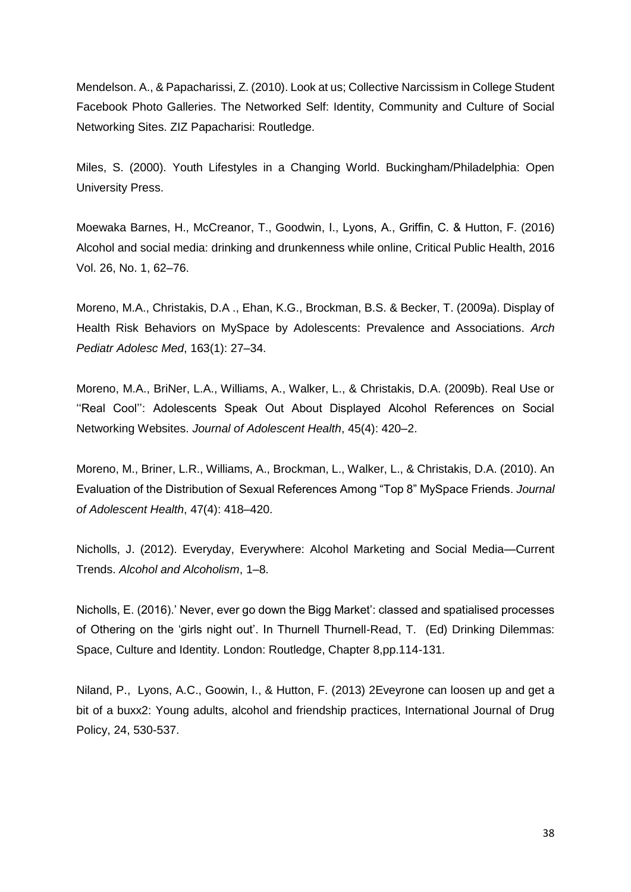Mendelson. A., & Papacharissi, Z. (2010). Look at us; Collective Narcissism in College Student Facebook Photo Galleries. The Networked Self: Identity, Community and Culture of Social Networking Sites. ZIZ Papacharisi: Routledge.

Miles, S. (2000). Youth Lifestyles in a Changing World. Buckingham/Philadelphia: Open University Press.

Moewaka Barnes, H., McCreanor, T., Goodwin, I., Lyons, A., Griffin, C. & Hutton, F. (2016) Alcohol and social media: drinking and drunkenness while online, Critical Public Health, 2016 Vol. 26, No. 1, 62–76.

Moreno, M.A., Christakis, D.A ., Ehan, K.G., Brockman, B.S. & Becker, T. (2009a). Display of Health Risk Behaviors on MySpace by Adolescents: Prevalence and Associations. *Arch Pediatr Adolesc Med*, 163(1): 27–34.

Moreno, M.A., BriNer, L.A., Williams, A., Walker, L., & Christakis, D.A. (2009b). Real Use or "Real Cool": Adolescents Speak Out About Displayed Alcohol References on Social Networking Websites. *Journal of Adolescent Health*, 45(4): 420–2.

Moreno, M., Briner, L.R., Williams, A., Brockman, L., Walker, L., & Christakis, D.A. (2010). An Evaluation of the Distribution of Sexual References Among "Top 8" MySpace Friends. *Journal of Adolescent Health*, 47(4): 418–420.

Nicholls, J. (2012). Everyday, Everywhere: Alcohol Marketing and Social Media—Current Trends. *Alcohol and Alcoholism*, 1–8.

Nicholls, E. (2016).' Never, ever go down the Bigg Market': classed and spatialised processes of Othering on the 'girls night out'. In Thurnell Thurnell-Read, T. (Ed) Drinking Dilemmas: Space, Culture and Identity. London: Routledge, Chapter 8,pp.114-131.

Niland, P., Lyons, A.C., Goowin, I., & Hutton, F. (2013) 2Eveyrone can loosen up and get a bit of a buxx2: Young adults, alcohol and friendship practices, International Journal of Drug Policy, 24, 530-537.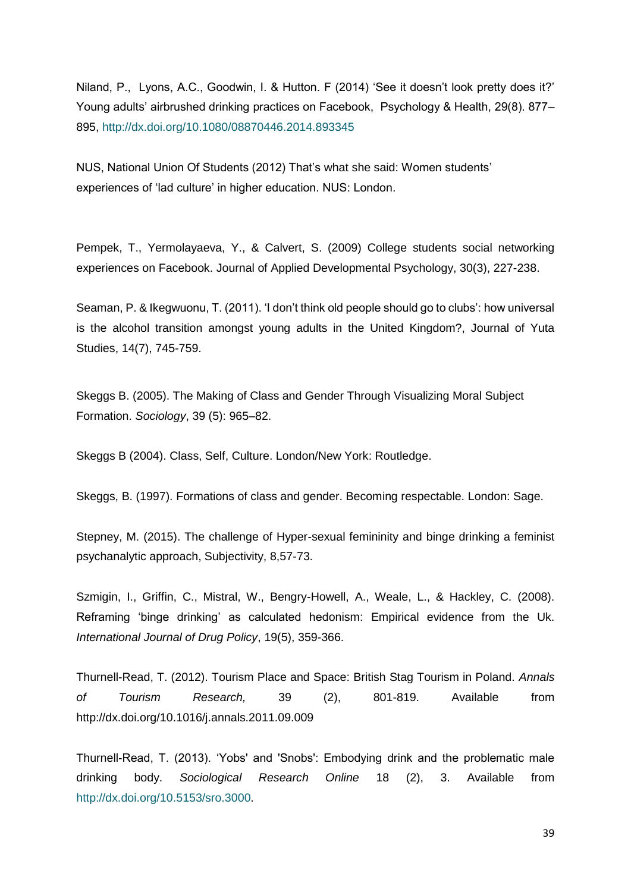Niland, P., Lyons, A.C., Goodwin, I. & Hutton. F (2014) 'See it doesn't look pretty does it?' Young adults' airbrushed drinking practices on Facebook, Psychology & Health, 29(8). 877– 895,<http://dx.doi.org/10.1080/08870446.2014.893345>

NUS, National Union Of Students (2012) That's what she said: Women students' experiences of 'lad culture' in higher education. NUS: London.

Pempek, T., Yermolayaeva, Y., & Calvert, S. (2009) College students social networking experiences on Facebook. Journal of Applied Developmental Psychology, 30(3), 227-238.

Seaman, P. & Ikegwuonu, T. (2011). 'I don't think old people should go to clubs': how universal is the alcohol transition amongst young adults in the United Kingdom?, Journal of Yuta Studies, 14(7), 745-759.

Skeggs B. (2005). The Making of Class and Gender Through Visualizing Moral Subject Formation. *Sociology*, 39 (5): 965–82.

Skeggs B (2004). Class, Self, Culture. London/New York: Routledge.

Skeggs, B. (1997). Formations of class and gender. Becoming respectable. London: Sage.

Stepney, M. (2015). The challenge of Hyper-sexual femininity and binge drinking a feminist psychanalytic approach, Subjectivity, 8,57-73.

Szmigin, I., Griffin, C., Mistral, W., Bengry-Howell, A., Weale, L., & Hackley, C. (2008). Reframing 'binge drinking' as calculated hedonism: Empirical evidence from the Uk. *International Journal of Drug Policy*, 19(5), 359-366.

Thurnell-Read, T. (2012). Tourism Place and Space: British Stag Tourism in Poland. *Annals of Tourism Research,* 39 (2), 801-819. Available from http://dx.doi.org/10.1016/j.annals.2011.09.009

Thurnell-Read, T. (2013). 'Yobs' and 'Snobs': Embodying drink and the problematic male drinking body. *Sociological Research Online* 18 (2), 3. Available from [http://dx.doi.org/10.5153/sro.3000.](http://dx.doi.org/10.5153/sro.3000)

39